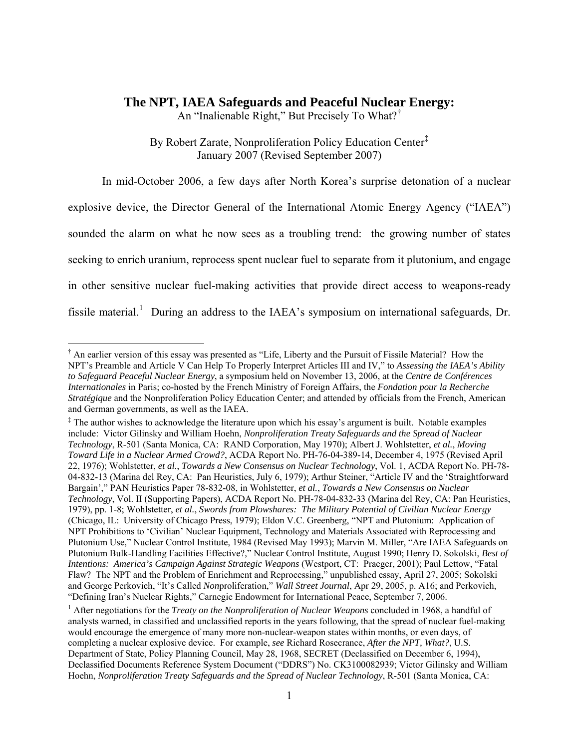# **The NPT, IAEA Safeguards and Peaceful Nuclear Energy:**

An "Inalienable Right," But Precisely To What?[†](#page-0-0)

By Robert Zarate, Nonproliferation Policy Education Center[‡](#page-0-1) January 2007 (Revised September 2007)

In mid-October 2006, a few days after North Korea's surprise detonation of a nuclear explosive device, the Director General of the International Atomic Energy Agency ("IAEA") sounded the alarm on what he now sees as a troubling trend: the growing number of states seeking to enrich uranium, reprocess spent nuclear fuel to separate from it plutonium, and engage in other sensitive nuclear fuel-making activities that provide direct access to weapons-ready fissile material.<sup>[1](#page-0-2)</sup> During an address to the IAEA's symposium on international safeguards, Dr.

<span id="page-0-0"></span><sup>†</sup> An earlier version of this essay was presented as "Life, Liberty and the Pursuit of Fissile Material? How the NPT's Preamble and Article V Can Help To Properly Interpret Articles III and IV," to *Assessing the IAEA's Ability to Safeguard Peaceful Nuclear Energy*, a symposium held on November 13, 2006, at the *Centre de Conférences Internationales* in Paris; co-hosted by the French Ministry of Foreign Affairs, the *Fondation pour la Recherche Stratégique* and the Nonproliferation Policy Education Center; and attended by officials from the French, American and German governments, as well as the IAEA.

<span id="page-0-1"></span><sup>&</sup>lt;sup>‡</sup> The author wishes to acknowledge the literature upon which his essay's argument is built. Notable examples include: Victor Gilinsky and William Hoehn, *Nonproliferation Treaty Safeguards and the Spread of Nuclear Technology*, R-501 (Santa Monica, CA: RAND Corporation, May 1970); Albert J. Wohlstetter, *et al.*, *Moving Toward Life in a Nuclear Armed Crowd?*, ACDA Report No. PH-76-04-389-14, December 4, 1975 (Revised April 22, 1976); Wohlstetter, *et al.*, *Towards a New Consensus on Nuclear Technology*, Vol. 1, ACDA Report No. PH-78- 04-832-13 (Marina del Rey, CA: Pan Heuristics, July 6, 1979); Arthur Steiner, "Article IV and the 'Straightforward Bargain'," PAN Heuristics Paper 78-832-08, in Wohlstetter, *et al.*, *Towards a New Consensus on Nuclear Technology*, Vol. II (Supporting Papers), ACDA Report No. PH-78-04-832-33 (Marina del Rey, CA: Pan Heuristics, 1979), pp. 1-8; Wohlstetter, *et al.*, *Swords from Plowshares: The Military Potential of Civilian Nuclear Energy*  (Chicago, IL: University of Chicago Press, 1979); Eldon V.C. Greenberg, "NPT and Plutonium: Application of NPT Prohibitions to 'Civilian' Nuclear Equipment, Technology and Materials Associated with Reprocessing and Plutonium Use," Nuclear Control Institute, 1984 (Revised May 1993); Marvin M. Miller, "Are IAEA Safeguards on Plutonium Bulk-Handling Facilities Effective?," Nuclear Control Institute, August 1990; Henry D. Sokolski, *Best of Intentions: America's Campaign Against Strategic Weapons* (Westport, CT: Praeger, 2001); Paul Lettow, "Fatal Flaw? The NPT and the Problem of Enrichment and Reprocessing," unpublished essay, April 27, 2005; Sokolski and George Perkovich, "It's Called *Non*proliferation," *Wall Street Journal*, Apr 29, 2005, p. A16; and Perkovich, "Defining Iran's Nuclear Rights," Carnegie Endowment for International Peace, September 7, 2006. 1

<span id="page-0-2"></span><sup>&</sup>lt;sup>1</sup> After negotiations for the *Treaty on the Nonproliferation of Nuclear Weapons* concluded in 1968, a handful of analysts warned, in classified and unclassified reports in the years following, that the spread of nuclear fuel-making would encourage the emergence of many more non-nuclear-weapon states within months, or even days, of completing a nuclear explosive device. For example, *see* Richard Rosecrance, *After the NPT, What?*, U.S. Department of State, Policy Planning Council, May 28, 1968, SECRET (Declassified on December 6, 1994), Declassified Documents Reference System Document ("DDRS") No. CK3100082939; Victor Gilinsky and William Hoehn, *Nonproliferation Treaty Safeguards and the Spread of Nuclear Technology*, R-501 (Santa Monica, CA: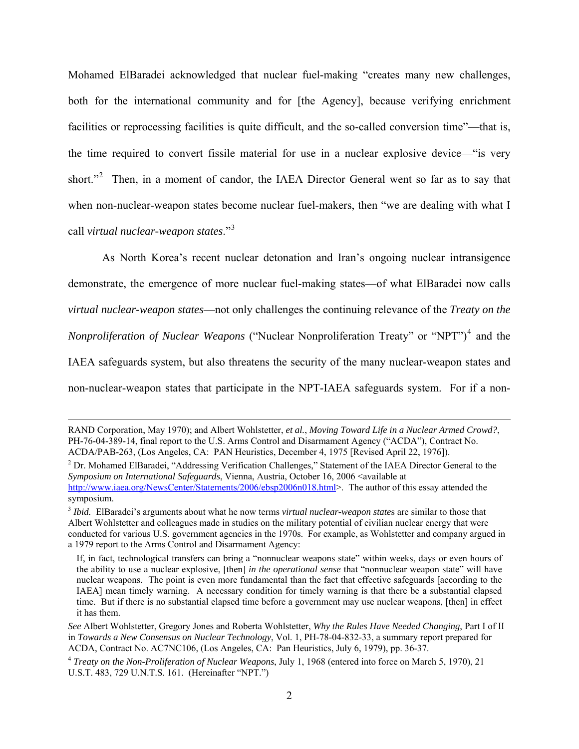Mohamed ElBaradei acknowledged that nuclear fuel-making "creates many new challenges, both for the international community and for [the Agency], because verifying enrichment facilities or reprocessing facilities is quite difficult, and the so-called conversion time"—that is, the time required to convert fissile material for use in a nuclear explosive device—"is very short."<sup>[2](#page-1-0)</sup> Then, in a moment of candor, the IAEA Director General went so far as to say that when non-nuclear-weapon states become nuclear fuel-makers, then "we are dealing with what I call *virtual nuclear-weapon states*."[3](#page-1-1)

As North Korea's recent nuclear detonation and Iran's ongoing nuclear intransigence demonstrate, the emergence of more nuclear fuel-making states—of what ElBaradei now calls *virtual nuclear-weapon states*—not only challenges the continuing relevance of the *Treaty on the Nonproliferation of Nuclear Weapons* ("Nuclear Nonproliferation Treaty" or "NPT")[4](#page-1-2) and the IAEA safeguards system, but also threatens the security of the many nuclear-weapon states and non-nuclear-weapon states that participate in the NPT-IAEA safeguards system. For if a non-

RAND Corporation, May 1970); and Albert Wohlstetter, *et al.*, *Moving Toward Life in a Nuclear Armed Crowd?*, PH-76-04-389-14, final report to the U.S. Arms Control and Disarmament Agency ("ACDA"), Contract No. ACDA/PAB-263, (Los Angeles, CA: PAN Heuristics, December 4, 1975 [Revised April 22, 1976]). 2

<span id="page-1-0"></span><sup>&</sup>lt;sup>2</sup> Dr. Mohamed ElBaradei, "Addressing Verification Challenges," Statement of the IAEA Director General to the *Symposium on International Safeguards*, Vienna, Austria, October 16, 2006 <available at <http://www.iaea.org/NewsCenter/Statements/2006/ebsp2006n018.html>>. The author of this essay attended the symposium.

<span id="page-1-1"></span><sup>3</sup> *Ibid.* ElBaradei's arguments about what he now terms *virtual nuclear-weapon state*s are similar to those that Albert Wohlstetter and colleagues made in studies on the military potential of civilian nuclear energy that were conducted for various U.S. government agencies in the 1970s. For example, as Wohlstetter and company argued in a 1979 report to the Arms Control and Disarmament Agency:

If, in fact, technological transfers can bring a "nonnuclear weapons state" within weeks, days or even hours of the ability to use a nuclear explosive, [then] *in the operational sense* that "nonnuclear weapon state" will have nuclear weapons. The point is even more fundamental than the fact that effective safeguards [according to the IAEA] mean timely warning. A necessary condition for timely warning is that there be a substantial elapsed time. But if there is no substantial elapsed time before a government may use nuclear weapons, [then] in effect it has them.

*See* Albert Wohlstetter, Gregory Jones and Roberta Wohlstetter, *Why the Rules Have Needed Changing*, Part I of II in *Towards a New Consensus on Nuclear Technology*, Vol. 1, PH-78-04-832-33, a summary report prepared for ACDA, Contract No. AC7NC106, (Los Angeles, CA: Pan Heuristics, July 6, 1979), pp. 36-37.

<span id="page-1-2"></span><sup>4</sup> *Treaty on the Non-Proliferation of Nuclear Weapons*, July 1, 1968 (entered into force on March 5, 1970), 21 U.S.T. 483, 729 U.N.T.S. 161. (Hereinafter "NPT.")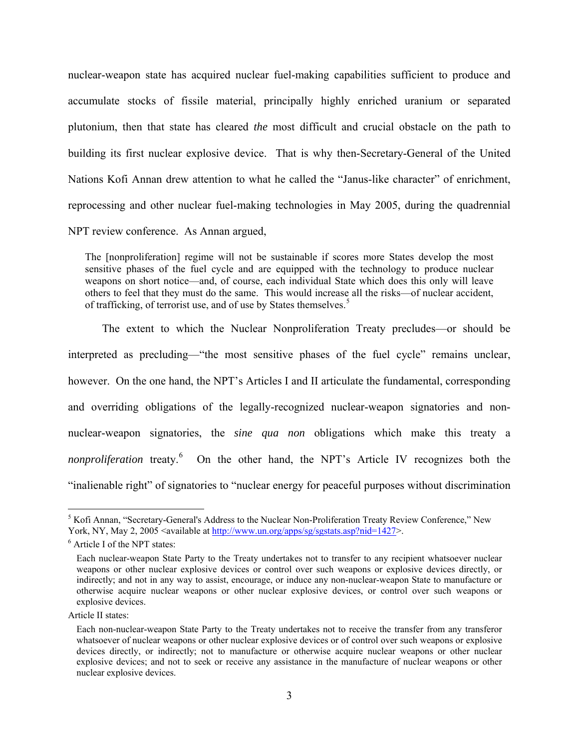nuclear-weapon state has acquired nuclear fuel-making capabilities sufficient to produce and accumulate stocks of fissile material, principally highly enriched uranium or separated plutonium, then that state has cleared *the* most difficult and crucial obstacle on the path to building its first nuclear explosive device. That is why then-Secretary-General of the United Nations Kofi Annan drew attention to what he called the "Janus-like character" of enrichment, reprocessing and other nuclear fuel-making technologies in May 2005, during the quadrennial NPT review conference. As Annan argued,

The [nonproliferation] regime will not be sustainable if scores more States develop the most sensitive phases of the fuel cycle and are equipped with the technology to produce nuclear weapons on short notice—and, of course, each individual State which does this only will leave others to feel that they must do the same. This would increase all the risks—of nuclear accident, of trafficking, of terrorist use, and of use by States themselves.<sup>[5](#page-2-0)</sup>

The extent to which the Nuclear Nonproliferation Treaty precludes—or should be interpreted as precluding—"the most sensitive phases of the fuel cycle" remains unclear, however. On the one hand, the NPT's Articles I and II articulate the fundamental, corresponding and overriding obligations of the legally-recognized nuclear-weapon signatories and nonnuclear-weapon signatories, the *sine qua non* obligations which make this treaty a nonproliferation treaty.<sup>[6](#page-2-1)</sup> On the other hand, the NPT's Article IV recognizes both the "inalienable right" of signatories to "nuclear energy for peaceful purposes without discrimination

<span id="page-2-0"></span><sup>&</sup>lt;sup>5</sup> Kofi Annan, "Secretary-General's Address to the Nuclear Non-Proliferation Treaty Review Conference," New York, NY, May 2, 2005 <available at [http://www.un.org/apps/sg/sgstats.asp?nid=1427>](http://www.un.org/apps/sg/sgstats.asp?nid=1427).

<span id="page-2-1"></span><sup>&</sup>lt;sup>6</sup> Article I of the NPT states:

Each nuclear-weapon State Party to the Treaty undertakes not to transfer to any recipient whatsoever nuclear weapons or other nuclear explosive devices or control over such weapons or explosive devices directly, or indirectly; and not in any way to assist, encourage, or induce any non-nuclear-weapon State to manufacture or otherwise acquire nuclear weapons or other nuclear explosive devices, or control over such weapons or explosive devices.

Article II states:

Each non-nuclear-weapon State Party to the Treaty undertakes not to receive the transfer from any transferor whatsoever of nuclear weapons or other nuclear explosive devices or of control over such weapons or explosive devices directly, or indirectly; not to manufacture or otherwise acquire nuclear weapons or other nuclear explosive devices; and not to seek or receive any assistance in the manufacture of nuclear weapons or other nuclear explosive devices.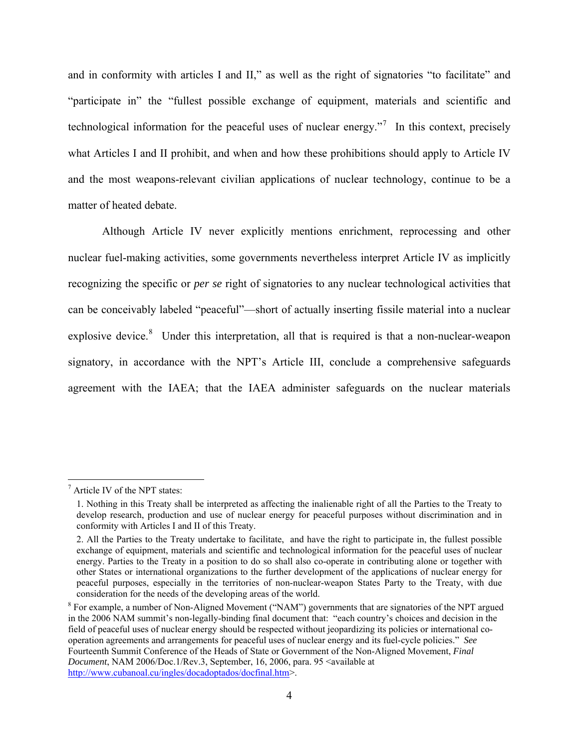and in conformity with articles I and II," as well as the right of signatories "to facilitate" and "participate in" the "fullest possible exchange of equipment, materials and scientific and technological information for the peaceful uses of nuclear energy. $\frac{1}{2}$  In this context, precisely what Articles I and II prohibit, and when and how these prohibitions should apply to Article IV and the most weapons-relevant civilian applications of nuclear technology, continue to be a matter of heated debate.

Although Article IV never explicitly mentions enrichment, reprocessing and other nuclear fuel-making activities, some governments nevertheless interpret Article IV as implicitly recognizing the specific or *per se* right of signatories to any nuclear technological activities that can be conceivably labeled "peaceful"—short of actually inserting fissile material into a nuclear explosive device. $8$  Under this interpretation, all that is required is that a non-nuclear-weapon signatory, in accordance with the NPT's Article III, conclude a comprehensive safeguards agreement with the IAEA; that the IAEA administer safeguards on the nuclear materials

1

<span id="page-3-0"></span><sup>&</sup>lt;sup>7</sup> Article IV of the NPT states:

<sup>1.</sup> Nothing in this Treaty shall be interpreted as affecting the inalienable right of all the Parties to the Treaty to develop research, production and use of nuclear energy for peaceful purposes without discrimination and in conformity with Articles I and II of this Treaty.

<sup>2.</sup> All the Parties to the Treaty undertake to facilitate, and have the right to participate in, the fullest possible exchange of equipment, materials and scientific and technological information for the peaceful uses of nuclear energy. Parties to the Treaty in a position to do so shall also co-operate in contributing alone or together with other States or international organizations to the further development of the applications of nuclear energy for peaceful purposes, especially in the territories of non-nuclear-weapon States Party to the Treaty, with due consideration for the needs of the developing areas of the world.

<span id="page-3-1"></span><sup>&</sup>lt;sup>8</sup> For example, a number of Non-Aligned Movement ("NAM") governments that are signatories of the NPT argued in the 2006 NAM summit's non-legally-binding final document that: "each country's choices and decision in the field of peaceful uses of nuclear energy should be respected without jeopardizing its policies or international cooperation agreements and arrangements for peaceful uses of nuclear energy and its fuel-cycle policies." *See*  Fourteenth Summit Conference of the Heads of State or Government of the Non-Aligned Movement, *Final Document*, NAM 2006/Doc.1/Rev.3, September, 16, 2006, para. 95 <available at <http://www.cubanoal.cu/ingles/docadoptados/docfinal.htm>>.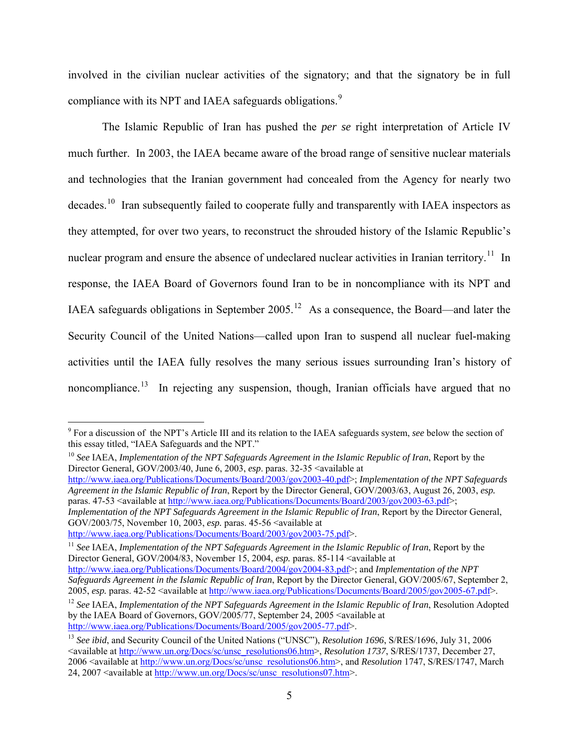involved in the civilian nuclear activities of the signatory; and that the signatory be in full compliance with its NPT and IAEA safeguards obligations.<sup>[9](#page-4-0)</sup>

The Islamic Republic of Iran has pushed the *per se* right interpretation of Article IV much further. In 2003, the IAEA became aware of the broad range of sensitive nuclear materials and technologies that the Iranian government had concealed from the Agency for nearly two decades.<sup>[10](#page-4-1)</sup> Iran subsequently failed to cooperate fully and transparently with IAEA inspectors as they attempted, for over two years, to reconstruct the shrouded history of the Islamic Republic's nuclear program and ensure the absence of undeclared nuclear activities in Iranian territory.<sup>[11](#page-4-2)</sup> In response, the IAEA Board of Governors found Iran to be in noncompliance with its NPT and IAEA safeguards obligations in September 2005.<sup>[12](#page-4-3)</sup> As a consequence, the Board—and later the Security Council of the United Nations—called upon Iran to suspend all nuclear fuel-making activities until the IAEA fully resolves the many serious issues surrounding Iran's history of noncompliance.<sup>[13](#page-4-4)</sup> In rejecting any suspension, though, Iranian officials have argued that no

<span id="page-4-1"></span><sup>10</sup> *See* IAEA, *Implementation of the NPT Safeguards Agreement in the Islamic Republic of Iran*, Report by the Director General, GOV/2003/40, June 6, 2003, *esp.* paras. 32-35 <available at

<http://www.iaea.org/Publications/Documents/Board/2003/gov2003-40.pdf>>; *Implementation of the NPT Safeguards Agreement in the Islamic Republic of Iran*, Report by the Director General, GOV/2003/63, August 26, 2003, *esp.* paras. 47-53 <available at <http://www.iaea.org/Publications/Documents/Board/2003/gov2003-63.pdf>>; *Implementation of the NPT Safeguards Agreement in the Islamic Republic of Iran*, Report by the Director General, GOV/2003/75, November 10, 2003, *esp.* paras. 45-56  $\leq$  available at http://www.iaea.org/Publications/Documents/Board/2003/gov2003-75.pdf>.

<span id="page-4-2"></span><sup>11</sup> See IAEA, *Implementation of the NPT Safeguards Agreement in the Islamic Republic of Iran*, Report by the Director General, GOV/2004/83, November 15, 2004, *esp.* paras. 85-114 <available at <http://www.iaea.org/Publications/Documents/Board/2004/gov2004-83.pdf>>; and *Implementation of the NPT Safeguards Agreement in the Islamic Republic of Iran*, Report by the Director General, GOV/2005/67, September 2,

<span id="page-4-0"></span> 9 For a discussion of the NPT's Article III and its relation to the IAEA safeguards system, *see* below the section of this essay titled, "IAEA Safeguards and the NPT."

<span id="page-4-3"></span><sup>2005,</sup> esp. paras. 42-52 < available at [http://www.iaea.org/Publications/Documents/Board/2005/gov2005-67.pdf>](http://www.iaea.org/Publications/Documents/Board/2005/gov2005-67.pdf).<br><sup>12</sup> See IAEA, *Implementation of the NPT Safeguards Agreement in the Islamic Republic of Iran*, Resolution Adop by the IAEA Board of Governors, GOV/2005/77, September 24, 2005 <available at

<span id="page-4-4"></span><http://www.iaea.org/Publications/Documents/Board/2005/gov2005-77.pdf>>. 13 *See ibid*, and Security Council of the United Nations ("UNSC"), *Resolution 1696*, S/RES/1696, July 31, 2006 <available at [http://www.un.org/Docs/sc/unsc\\_resolutions06.htm](http://www.un.org/Docs/sc/unsc_resolutions06.htm)>, *Resolution 1737*, S/RES/1737, December 27, 2006 <available at [http://www.un.org/Docs/sc/unsc\\_resolutions06.htm>](http://www.un.org/Docs/sc/unsc_resolutions06.htm), and *Resolution* 1747, S/RES/1747, March 24, 2007 <available at [http://www.un.org/Docs/sc/unsc\\_resolutions07.htm>](http://www.un.org/Docs/sc/unsc_resolutions07.htm).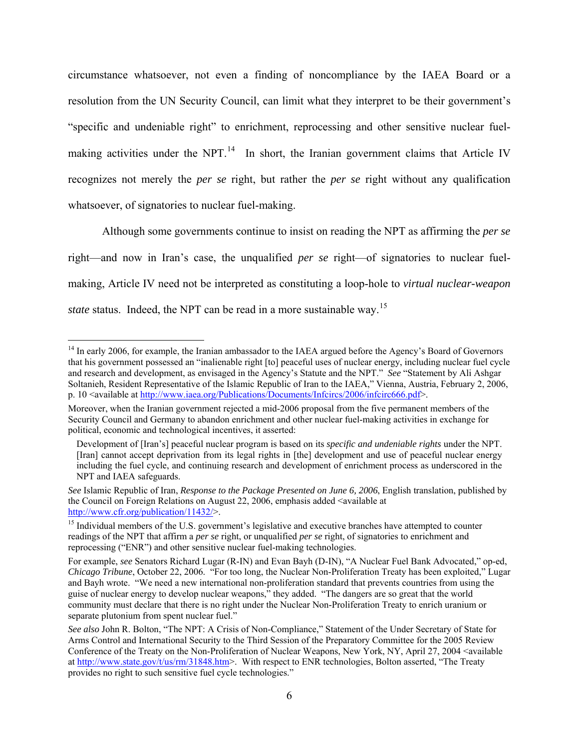circumstance whatsoever, not even a finding of noncompliance by the IAEA Board or a resolution from the UN Security Council, can limit what they interpret to be their government's "specific and undeniable right" to enrichment, reprocessing and other sensitive nuclear fuelmaking activities under the NPT. $^{14}$  $^{14}$  $^{14}$  In short, the Iranian government claims that Article IV recognizes not merely the *per se* right, but rather the *per se* right without any qualification whatsoever, of signatories to nuclear fuel-making.

Although some governments continue to insist on reading the NPT as affirming the *per se*  right—and now in Iran's case, the unqualified *per se* right—of signatories to nuclear fuelmaking, Article IV need not be interpreted as constituting a loop-hole to *virtual nuclear-weapon state* status. Indeed, the NPT can be read in a more sustainable way.<sup>[15](#page-5-1)</sup>

1

<span id="page-5-0"></span><sup>&</sup>lt;sup>14</sup> In early 2006, for example, the Iranian ambassador to the IAEA argued before the Agency's Board of Governors that his government possessed an "inalienable right [to] peaceful uses of nuclear energy, including nuclear fuel cycle and research and development, as envisaged in the Agency's Statute and the NPT." *See* "Statement by Ali Ashgar Soltanieh, Resident Representative of the Islamic Republic of Iran to the IAEA," Vienna, Austria, February 2, 2006, p. 10 <available at [http://www.iaea.org/Publications/Documents/Infcircs/2006/infcirc666.pdf>](http://www.iaea.org/Publications/Documents/Infcircs/2006/infcirc666.pdf).

Moreover, when the Iranian government rejected a mid-2006 proposal from the five permanent members of the Security Council and Germany to abandon enrichment and other nuclear fuel-making activities in exchange for political, economic and technological incentives, it asserted:

Development of [Iran's] peaceful nuclear program is based on its *specific and undeniable rights* under the NPT. [Iran] cannot accept deprivation from its legal rights in [the] development and use of peaceful nuclear energy including the fuel cycle, and continuing research and development of enrichment process as underscored in the NPT and IAEA safeguards.

*See* Islamic Republic of Iran, *Response to the Package Presented on June 6, 2006*, English translation, published by the Council on Foreign Relations on August 22, 2006, emphasis added <available at <http://www.cfr.org/publication/11432/>>.

<span id="page-5-1"></span><sup>&</sup>lt;sup>15</sup> Individual members of the U.S. government's legislative and executive branches have attempted to counter readings of the NPT that affirm a *per se* right, or unqualified *per se* right, of signatories to enrichment and reprocessing ("ENR") and other sensitive nuclear fuel-making technologies.

For example, *see* Senators Richard Lugar (R-IN) and Evan Bayh (D-IN), "A Nuclear Fuel Bank Advocated," op-ed, *Chicago Tribune*, October 22, 2006. "For too long, the Nuclear Non-Proliferation Treaty has been exploited," Lugar and Bayh wrote. "We need a new international non-proliferation standard that prevents countries from using the guise of nuclear energy to develop nuclear weapons," they added. "The dangers are so great that the world community must declare that there is no right under the Nuclear Non-Proliferation Treaty to enrich uranium or separate plutonium from spent nuclear fuel."

*See also* John R. Bolton, "The NPT: A Crisis of Non-Compliance," Statement of the Under Secretary of State for Arms Control and International Security to the Third Session of the Preparatory Committee for the 2005 Review Conference of the Treaty on the Non-Proliferation of Nuclear Weapons, New York, NY, April 27, 2004 <available at [http://www.state.gov/t/us/rm/31848.htm>](http://www.state.gov/t/us/rm/31848.htm). With respect to ENR technologies, Bolton asserted, "The Treaty provides no right to such sensitive fuel cycle technologies."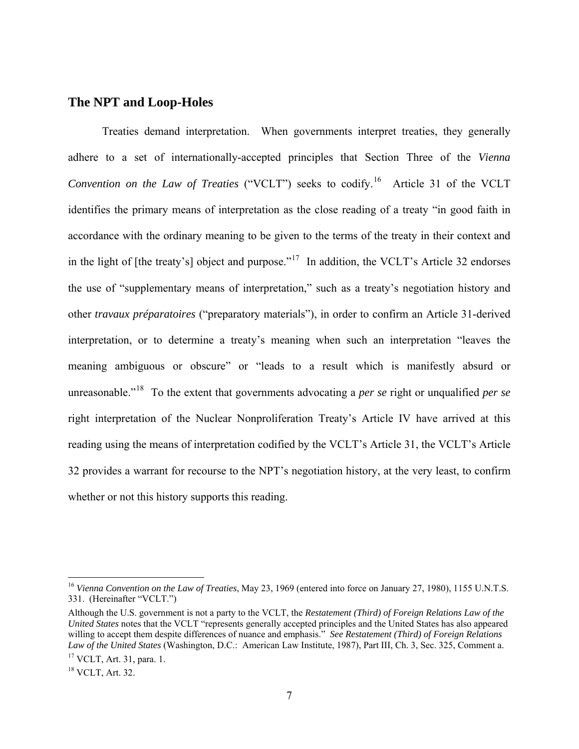### **The NPT and Loop-Holes**

Treaties demand interpretation. When governments interpret treaties, they generally adhere to a set of internationally-accepted principles that Section Three of the *Vienna Convention on the Law of Treaties* ("VCLT") seeks to codify.<sup>[16](#page-6-0)</sup> Article 31 of the VCLT identifies the primary means of interpretation as the close reading of a treaty "in good faith in accordance with the ordinary meaning to be given to the terms of the treaty in their context and in the light of [the treaty's] object and purpose."<sup>[17](#page-6-1)</sup> In addition, the VCLT's Article 32 endorses the use of "supplementary means of interpretation," such as a treaty's negotiation history and other *travaux préparatoires* ("preparatory materials"), in order to confirm an Article 31-derived interpretation, or to determine a treaty's meaning when such an interpretation "leaves the meaning ambiguous or obscure" or "leads to a result which is manifestly absurd or unreasonable."[18](#page-6-2) To the extent that governments advocating a *per se* right or unqualified *per se*  right interpretation of the Nuclear Nonproliferation Treaty's Article IV have arrived at this reading using the means of interpretation codified by the VCLT's Article 31, the VCLT's Article 32 provides a warrant for recourse to the NPT's negotiation history, at the very least, to confirm whether or not this history supports this reading.

<span id="page-6-0"></span><sup>16</sup> *Vienna Convention on the Law of Treaties*, May 23, 1969 (entered into force on January 27, 1980), 1155 U.N.T.S. 331. (Hereinafter "VCLT.")

Although the U.S. government is not a party to the VCLT, the *Restatement (Third) of Foreign Relations Law of the United States* notes that the VCLT "represents generally accepted principles and the United States has also appeared willing to accept them despite differences of nuance and emphasis." *See Restatement (Third) of Foreign Relations Law of the United States* (Washington, D.C.: American Law Institute, 1987), Part III, Ch. 3, Sec. 325, Comment a. <sup>17</sup> VCLT, Art. 31, para. 1.

<span id="page-6-1"></span>

<span id="page-6-2"></span><sup>18</sup> VCLT, Art. 32.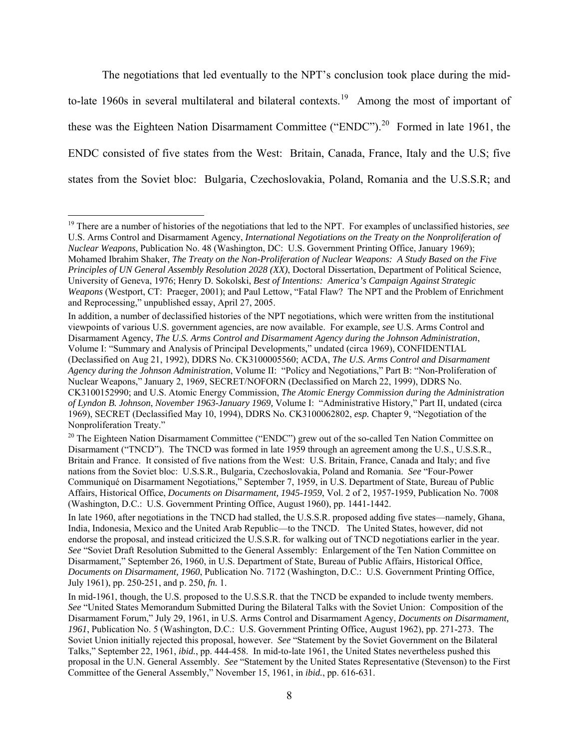The negotiations that led eventually to the NPT's conclusion took place during the mid-to-late [19](#page-7-0)60s in several multilateral and bilateral contexts.<sup>19</sup> Among the most of important of these was the Eighteen Nation Disarmament Committee ("ENDC").<sup>[20](#page-7-1)</sup> Formed in late 1961, the ENDC consisted of five states from the West: Britain, Canada, France, Italy and the U.S; five states from the Soviet bloc: Bulgaria, Czechoslovakia, Poland, Romania and the U.S.S.R; and

 $\overline{a}$ 

In addition, a number of declassified histories of the NPT negotiations, which were written from the institutional viewpoints of various U.S. government agencies, are now available. For example, *see* U.S. Arms Control and Disarmament Agency, *The U.S. Arms Control and Disarmament Agency during the Johnson Administration*, Volume I: "Summary and Analysis of Principal Developments," undated (circa 1969), CONFIDENTIAL (Declassified on Aug 21, 1992), DDRS No. CK3100005560; ACDA, *The U.S. Arms Control and Disarmament Agency during the Johnson Administration*, Volume II: "Policy and Negotiations," Part B: "Non-Proliferation of Nuclear Weapons," January 2, 1969, SECRET/NOFORN (Declassified on March 22, 1999), DDRS No. CK3100152990; and U.S. Atomic Energy Commission, *The Atomic Energy Commission during the Administration of Lyndon B. Johnson*, *November 1963-January 1969,* Volume I: "Administrative History," Part II, undated (circa 1969), SECRET (Declassified May 10, 1994), DDRS No. CK3100062802, *esp.* Chapter 9, "Negotiation of the Nonproliferation Treaty."<br><sup>20</sup> The Eighteen Nation Disarmament Committee ("ENDC") grew out of the so-called Ten Nation Committee on

<span id="page-7-1"></span>Disarmament ("TNCD"). The TNCD was formed in late 1959 through an agreement among the U.S., U.S.S.R., Britain and France. It consisted of five nations from the West: U.S. Britain, France, Canada and Italy; and five nations from the Soviet bloc: U.S.S.R., Bulgaria, Czechoslovakia, Poland and Romania. *See* "Four-Power Communiqué on Disarmament Negotiations," September 7, 1959, in U.S. Department of State, Bureau of Public Affairs, Historical Office, *Documents on Disarmament, 1945-1959*, Vol. 2 of 2, 1957-1959, Publication No. 7008 (Washington, D.C.: U.S. Government Printing Office, August 1960), pp. 1441-1442.

In late 1960, after negotiations in the TNCD had stalled, the U.S.S.R. proposed adding five states—namely, Ghana, India, Indonesia, Mexico and the United Arab Republic—to the TNCD. The United States, however, did not endorse the proposal, and instead criticized the U.S.S.R. for walking out of TNCD negotiations earlier in the year. *See* "Soviet Draft Resolution Submitted to the General Assembly: Enlargement of the Ten Nation Committee on Disarmament," September 26, 1960, in U.S. Department of State, Bureau of Public Affairs, Historical Office, *Documents on Disarmament, 1960*, Publication No. 7172 (Washington, D.C.: U.S. Government Printing Office, July 1961), pp. 250-251, and p. 250, *fn.* 1.

In mid-1961, though, the U.S. proposed to the U.S.S.R. that the TNCD be expanded to include twenty members. *See* "United States Memorandum Submitted During the Bilateral Talks with the Soviet Union: Composition of the Disarmament Forum," July 29, 1961, in U.S. Arms Control and Disarmament Agency, *Documents on Disarmament, 1961*, Publication No. 5 (Washington, D.C.: U.S. Government Printing Office, August 1962), pp. 271-273. The Soviet Union initially rejected this proposal, however. *See* "Statement by the Soviet Government on the Bilateral Talks," September 22, 1961, *ibid.*, pp. 444-458. In mid-to-late 1961, the United States nevertheless pushed this proposal in the U.N. General Assembly. *See* "Statement by the United States Representative (Stevenson) to the First Committee of the General Assembly," November 15, 1961, in *ibid.*, pp. 616-631.

<span id="page-7-0"></span><sup>19</sup> There are a number of histories of the negotiations that led to the NPT. For examples of unclassified histories, *see*  U.S. Arms Control and Disarmament Agency, *International Negotiations on the Treaty on the Nonproliferation of Nuclear Weapons*, Publication No. 48 (Washington, DC: U.S. Government Printing Office, January 1969); Mohamed Ibrahim Shaker, *The Treaty on the Non-Proliferation of Nuclear Weapons: A Study Based on the Five Principles of UN General Assembly Resolution 2028 (XX)*, Doctoral Dissertation, Department of Political Science, University of Geneva, 1976; Henry D. Sokolski, *Best of Intentions: America's Campaign Against Strategic Weapons* (Westport, CT: Praeger, 2001); and Paul Lettow, "Fatal Flaw? The NPT and the Problem of Enrichment and Reprocessing," unpublished essay, April 27, 2005.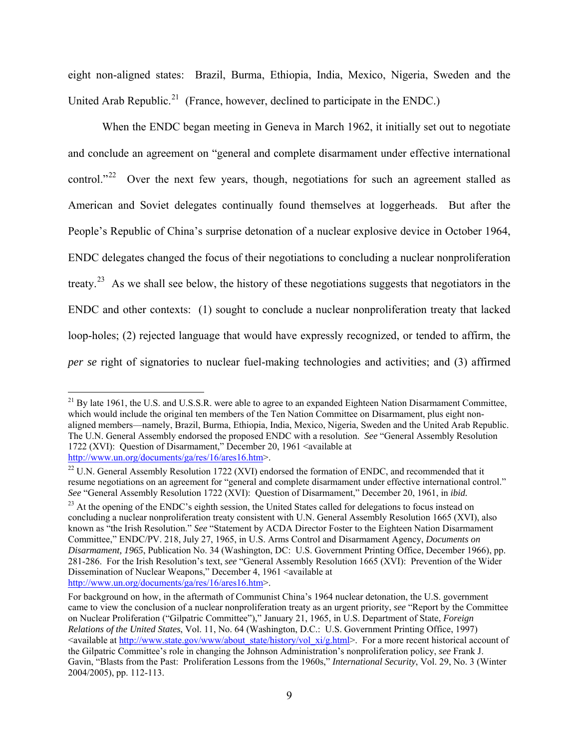eight non-aligned states: Brazil, Burma, Ethiopia, India, Mexico, Nigeria, Sweden and the United Arab Republic.<sup>[21](#page-8-0)</sup> (France, however, declined to participate in the ENDC.)

When the ENDC began meeting in Geneva in March 1962, it initially set out to negotiate and conclude an agreement on "general and complete disarmament under effective international control."<sup>[22](#page-8-1)</sup> Over the next few years, though, negotiations for such an agreement stalled as American and Soviet delegates continually found themselves at loggerheads. But after the People's Republic of China's surprise detonation of a nuclear explosive device in October 1964, ENDC delegates changed the focus of their negotiations to concluding a nuclear nonproliferation treaty.<sup>[23](#page-8-2)</sup> As we shall see below, the history of these negotiations suggests that negotiators in the ENDC and other contexts: (1) sought to conclude a nuclear nonproliferation treaty that lacked loop-holes; (2) rejected language that would have expressly recognized, or tended to affirm, the *per se* right of signatories to nuclear fuel-making technologies and activities; and (3) affirmed

<span id="page-8-0"></span> $^{21}$  By late 1961, the U.S. and U.S.S.R. were able to agree to an expanded Eighteen Nation Disarmament Committee, which would include the original ten members of the Ten Nation Committee on Disarmament, plus eight nonaligned members—namely, Brazil, Burma, Ethiopia, India, Mexico, Nigeria, Sweden and the United Arab Republic. The U.N. General Assembly endorsed the proposed ENDC with a resolution. *See* "General Assembly Resolution 1722 (XVI): Question of Disarmament," December 20, 1961 <available at <http://www.un.org/documents/ga/res/16/ares16.htm>>.<br><sup>22</sup> U.N. General Assembly Resolution 1722 (XVI) endorsed the formation of ENDC, and recommended that it

<span id="page-8-1"></span>resume negotiations on an agreement for "general and complete disarmament under effective international control." *See* "General Assembly Resolution 1722 (XVI): Question of Disarmament," December 20, 1961, in *ibid.*

<span id="page-8-2"></span> $^{23}$  At the opening of the ENDC's eighth session, the United States called for delegations to focus instead on concluding a nuclear nonproliferation treaty consistent with U.N. General Assembly Resolution 1665 (XVI), also known as "the Irish Resolution." *See* "Statement by ACDA Director Foster to the Eighteen Nation Disarmament Committee," ENDC/PV. 218, July 27, 1965, in U.S. Arms Control and Disarmament Agency, *Documents on Disarmament, 1965*, Publication No. 34 (Washington, DC: U.S. Government Printing Office, December 1966), pp. 281-286. For the Irish Resolution's text, *see* "General Assembly Resolution 1665 (XVI): Prevention of the Wider Dissemination of Nuclear Weapons," December 4, 1961 <available at <http://www.un.org/documents/ga/res/16/ares16.htm>>.

For background on how, in the aftermath of Communist China's 1964 nuclear detonation, the U.S. government came to view the conclusion of a nuclear nonproliferation treaty as an urgent priority, *see* "Report by the Committee on Nuclear Proliferation ("Gilpatric Committee")," January 21, 1965, in U.S. Department of State, *Foreign Relations of the United States*, Vol. 11, No. 64 (Washington, D.C.: U.S. Government Printing Office, 1997) <available at [http://www.state.gov/www/about\\_state/history/vol\\_xi/g.html](http://www.state.gov/www/about_state/history/vol_xi/g.html)>. For a more recent historical account of the Gilpatric Committee's role in changing the Johnson Administration's nonproliferation policy, *see* Frank J. Gavin, "Blasts from the Past: Proliferation Lessons from the 1960s," *International Security*, Vol. 29, No. 3 (Winter 2004/2005), pp. 112-113.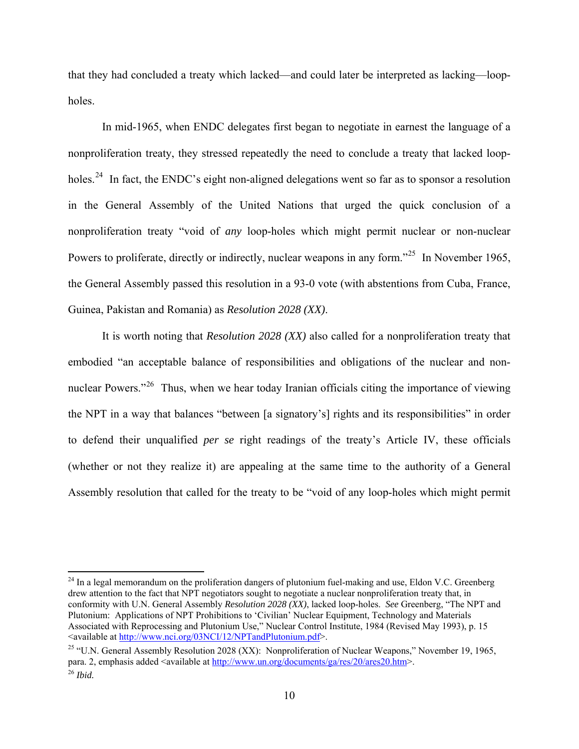that they had concluded a treaty which lacked—and could later be interpreted as lacking—loopholes.

In mid-1965, when ENDC delegates first began to negotiate in earnest the language of a nonproliferation treaty, they stressed repeatedly the need to conclude a treaty that lacked loop-holes.<sup>[24](#page-9-0)</sup> In fact, the ENDC's eight non-aligned delegations went so far as to sponsor a resolution in the General Assembly of the United Nations that urged the quick conclusion of a nonproliferation treaty "void of *any* loop-holes which might permit nuclear or non-nuclear Powers to proliferate, directly or indirectly, nuclear weapons in any form."<sup>[25](#page-9-1)</sup> In November 1965, the General Assembly passed this resolution in a 93-0 vote (with abstentions from Cuba, France, Guinea, Pakistan and Romania) as *Resolution 2028 (XX)*.

It is worth noting that *Resolution 2028 (XX)* also called for a nonproliferation treaty that embodied "an acceptable balance of responsibilities and obligations of the nuclear and non-nuclear Powers."<sup>[26](#page-9-2)</sup> Thus, when we hear today Iranian officials citing the importance of viewing the NPT in a way that balances "between [a signatory's] rights and its responsibilities" in order to defend their unqualified *per se* right readings of the treaty's Article IV, these officials (whether or not they realize it) are appealing at the same time to the authority of a General Assembly resolution that called for the treaty to be "void of any loop-holes which might permit

1

<span id="page-9-0"></span><sup>&</sup>lt;sup>24</sup> In a legal memorandum on the proliferation dangers of plutonium fuel-making and use, Eldon V.C. Greenberg drew attention to the fact that NPT negotiators sought to negotiate a nuclear nonproliferation treaty that, in conformity with U.N. General Assembly *Resolution 2028 (XX)*, lacked loop-holes. *See* Greenberg, "The NPT and Plutonium: Applications of NPT Prohibitions to 'Civilian' Nuclear Equipment, Technology and Materials Associated with Reprocessing and Plutonium Use," Nuclear Control Institute, 1984 (Revised May 1993), p. 15 <available at [http://www.nci.org/03NCI/12/NPTandPlutonium.pdf>](http://www.nci.org/03NCI/12/NPTandPlutonium.pdf). 25 "U.N. General Assembly Resolution 2028 (XX): Nonproliferation of Nuclear Weapons," November 19, 1965,

<span id="page-9-2"></span><span id="page-9-1"></span>para. 2, emphasis added <available at <u>http://www.un.org/documents/ga/res/20/ares20.htm</u>>. <sup>26</sup> *Ibid.*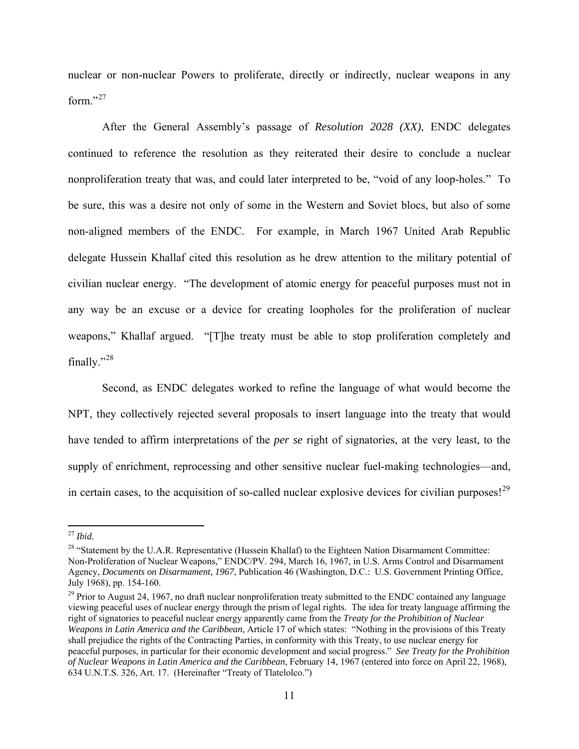nuclear or non-nuclear Powers to proliferate, directly or indirectly, nuclear weapons in any form."[27](#page-10-0)

After the General Assembly's passage of *Resolution 2028 (XX)*, ENDC delegates continued to reference the resolution as they reiterated their desire to conclude a nuclear nonproliferation treaty that was, and could later interpreted to be, "void of any loop-holes." To be sure, this was a desire not only of some in the Western and Soviet blocs, but also of some non-aligned members of the ENDC. For example, in March 1967 United Arab Republic delegate Hussein Khallaf cited this resolution as he drew attention to the military potential of civilian nuclear energy. "The development of atomic energy for peaceful purposes must not in any way be an excuse or a device for creating loopholes for the proliferation of nuclear weapons," Khallaf argued. "[T]he treaty must be able to stop proliferation completely and finally."[28](#page-10-1)

Second, as ENDC delegates worked to refine the language of what would become the NPT, they collectively rejected several proposals to insert language into the treaty that would have tended to affirm interpretations of the *per se* right of signatories, at the very least, to the supply of enrichment, reprocessing and other sensitive nuclear fuel-making technologies—and, in certain cases, to the acquisition of so-called nuclear explosive devices for civilian purposes!<sup>[29](#page-10-2)</sup>

<span id="page-10-0"></span> $^\mathrm{27}$  Ibid.

<span id="page-10-1"></span><sup>&</sup>lt;sup>28</sup> "Statement by the U.A.R. Representative (Hussein Khallaf) to the Eighteen Nation Disarmament Committee: Non-Proliferation of Nuclear Weapons," ENDC/PV. 294, March 16, 1967, in U.S. Arms Control and Disarmament Agency, *Documents on Disarmament, 1967*, Publication 46 (Washington, D.C.: U.S. Government Printing Office, July 1968), pp. 154-160.

<span id="page-10-2"></span><sup>&</sup>lt;sup>29</sup> Prior to August 24, 1967, no draft nuclear nonproliferation treaty submitted to the ENDC contained any language viewing peaceful uses of nuclear energy through the prism of legal rights. The idea for treaty language affirming the right of signatories to peaceful nuclear energy apparently came from the *Treaty for the Prohibition of Nuclear Weapons in Latin America and the Caribbean*, Article 17 of which states: "Nothing in the provisions of this Treaty shall prejudice the rights of the Contracting Parties, in conformity with this Treaty, to use nuclear energy for peaceful purposes, in particular for their economic development and social progress." *See Treaty for the Prohibition of Nuclear Weapons in Latin America and the Caribbean*, February 14, 1967 (entered into force on April 22, 1968), 634 U.N.T.S. 326, Art. 17. (Hereinafter "Treaty of Tlatelolco.")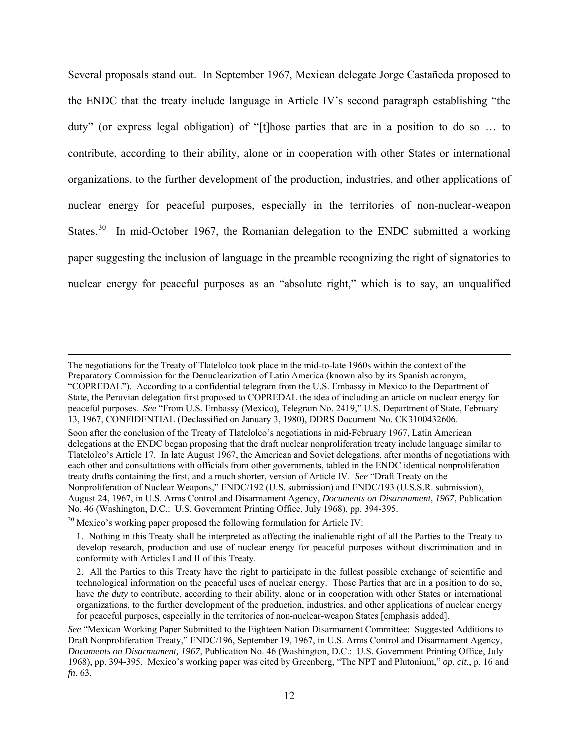Several proposals stand out. In September 1967, Mexican delegate Jorge Castañeda proposed to the ENDC that the treaty include language in Article IV's second paragraph establishing "the duty" (or express legal obligation) of "[t]hose parties that are in a position to do so … to contribute, according to their ability, alone or in cooperation with other States or international organizations, to the further development of the production, industries, and other applications of nuclear energy for peaceful purposes, especially in the territories of non-nuclear-weapon States. $30$  In mid-October 1967, the Romanian delegation to the ENDC submitted a working paper suggesting the inclusion of language in the preamble recognizing the right of signatories to nuclear energy for peaceful purposes as an "absolute right," which is to say, an unqualified

The negotiations for the Treaty of Tlatelolco took place in the mid-to-late 1960s within the context of the Preparatory Commission for the Denuclearization of Latin America (known also by its Spanish acronym, "COPREDAL"). According to a confidential telegram from the U.S. Embassy in Mexico to the Department of State, the Peruvian delegation first proposed to COPREDAL the idea of including an article on nuclear energy for peaceful purposes. *See* "From U.S. Embassy (Mexico), Telegram No. 2419," U.S. Department of State, February 13, 1967, CONFIDENTIAL (Declassified on January 3, 1980), DDRS Document No. CK3100432606.

Soon after the conclusion of the Treaty of Tlatelolco's negotiations in mid-February 1967, Latin American delegations at the ENDC began proposing that the draft nuclear nonproliferation treaty include language similar to Tlatelolco's Article 17. In late August 1967, the American and Soviet delegations, after months of negotiations with each other and consultations with officials from other governments, tabled in the ENDC identical nonproliferation treaty drafts containing the first, and a much shorter, version of Article IV. *See* "Draft Treaty on the Nonproliferation of Nuclear Weapons," ENDC/192 (U.S. submission) and ENDC/193 (U.S.S.R. submission), August 24, 1967, in U.S. Arms Control and Disarmament Agency, *Documents on Disarmament, 1967*, Publication No. 46 (Washington, D.C.: U.S. Government Printing Office, July 1968), pp. 394-395.

<span id="page-11-0"></span> $30$  Mexico's working paper proposed the following formulation for Article IV:

<sup>1.</sup> Nothing in this Treaty shall be interpreted as affecting the inalienable right of all the Parties to the Treaty to develop research, production and use of nuclear energy for peaceful purposes without discrimination and in conformity with Articles I and II of this Treaty.

<sup>2.</sup> All the Parties to this Treaty have the right to participate in the fullest possible exchange of scientific and technological information on the peaceful uses of nuclear energy. Those Parties that are in a position to do so, have *the duty* to contribute, according to their ability, alone or in cooperation with other States or international organizations, to the further development of the production, industries, and other applications of nuclear energy for peaceful purposes, especially in the territories of non-nuclear-weapon States [emphasis added].

*See* "Mexican Working Paper Submitted to the Eighteen Nation Disarmament Committee: Suggested Additions to Draft Nonproliferation Treaty," ENDC/196, September 19, 1967, in U.S. Arms Control and Disarmament Agency, *Documents on Disarmament, 1967*, Publication No. 46 (Washington, D.C.: U.S. Government Printing Office, July 1968), pp. 394-395. Mexico's working paper was cited by Greenberg, "The NPT and Plutonium," *op. cit.*, p. 16 and *fn*. 63.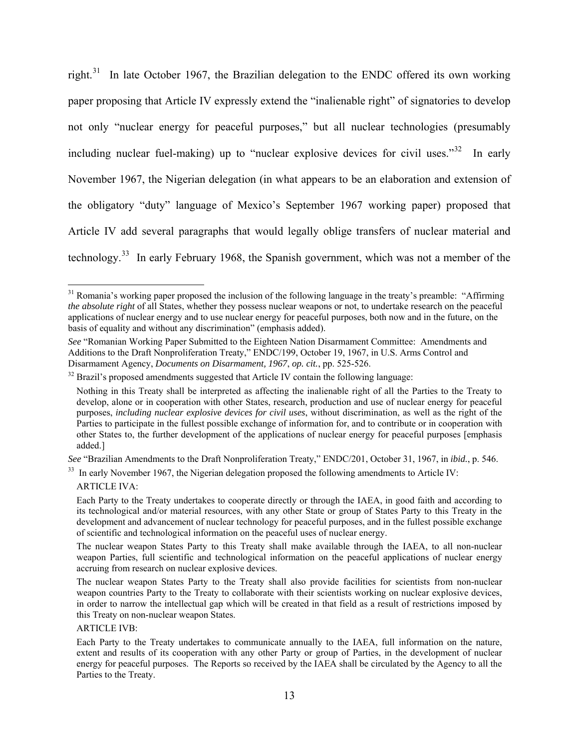right.<sup>[31](#page-12-0)</sup> In late October 1967, the Brazilian delegation to the ENDC offered its own working paper proposing that Article IV expressly extend the "inalienable right" of signatories to develop not only "nuclear energy for peaceful purposes," but all nuclear technologies (presumably including nuclear fuel-making) up to "nuclear explosive devices for civil uses."[32](#page-12-1) In early November 1967, the Nigerian delegation (in what appears to be an elaboration and extension of the obligatory "duty" language of Mexico's September 1967 working paper) proposed that Article IV add several paragraphs that would legally oblige transfers of nuclear material and technology.[33](#page-12-2) In early February 1968, the Spanish government, which was not a member of the

<span id="page-12-2"></span>*See* "Brazilian Amendments to the Draft Nonproliferation Treaty," ENDC/201, October 31, 1967, in *ibid.*, p. 546.<br><sup>33</sup> In early November 1967, the Nigerian delegation proposed the following amendments to Article IV:

ARTICLE IVA:

<span id="page-12-0"></span><sup>&</sup>lt;sup>31</sup> Romania's working paper proposed the inclusion of the following language in the treaty's preamble: "Affirming *the absolute right* of all States, whether they possess nuclear weapons or not, to undertake research on the peaceful applications of nuclear energy and to use nuclear energy for peaceful purposes, both now and in the future, on the basis of equality and without any discrimination" (emphasis added).

*See* "Romanian Working Paper Submitted to the Eighteen Nation Disarmament Committee: Amendments and Additions to the Draft Nonproliferation Treaty," ENDC/199, October 19, 1967, in U.S. Arms Control and Disarmament Agency, *Documents on Disarmament, 1967, op. cit.*, pp. 525-526.

<span id="page-12-1"></span><sup>&</sup>lt;sup>32</sup> Brazil's proposed amendments suggested that Article IV contain the following language:

Nothing in this Treaty shall be interpreted as affecting the inalienable right of all the Parties to the Treaty to develop, alone or in cooperation with other States, research, production and use of nuclear energy for peaceful purposes, *including nuclear explosive devices for civil uses*, without discrimination, as well as the right of the Parties to participate in the fullest possible exchange of information for, and to contribute or in cooperation with other States to, the further development of the applications of nuclear energy for peaceful purposes [emphasis added.]

Each Party to the Treaty undertakes to cooperate directly or through the IAEA, in good faith and according to its technological and/or material resources, with any other State or group of States Party to this Treaty in the development and advancement of nuclear technology for peaceful purposes, and in the fullest possible exchange of scientific and technological information on the peaceful uses of nuclear energy.

The nuclear weapon States Party to this Treaty shall make available through the IAEA, to all non-nuclear weapon Parties, full scientific and technological information on the peaceful applications of nuclear energy accruing from research on nuclear explosive devices.

The nuclear weapon States Party to the Treaty shall also provide facilities for scientists from non-nuclear weapon countries Party to the Treaty to collaborate with their scientists working on nuclear explosive devices, in order to narrow the intellectual gap which will be created in that field as a result of restrictions imposed by this Treaty on non-nuclear weapon States.

ARTICLE IVB:

Each Party to the Treaty undertakes to communicate annually to the IAEA, full information on the nature, extent and results of its cooperation with any other Party or group of Parties, in the development of nuclear energy for peaceful purposes. The Reports so received by the IAEA shall be circulated by the Agency to all the Parties to the Treaty.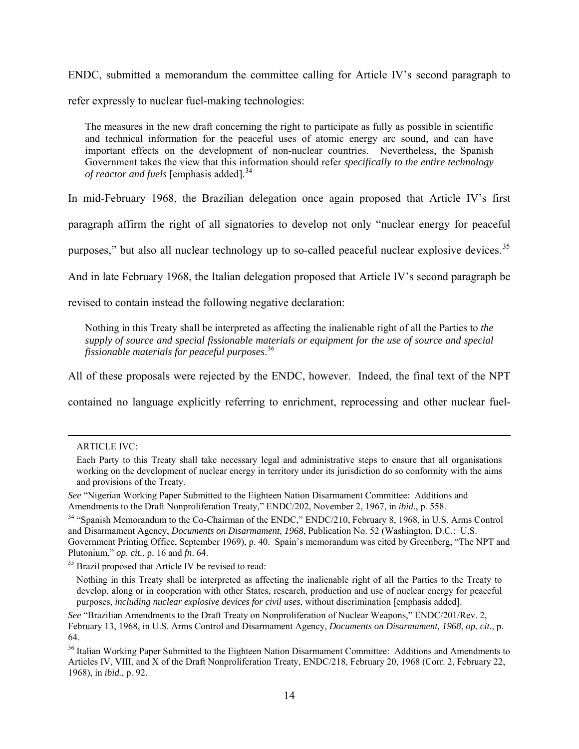ENDC, submitted a memorandum the committee calling for Article IV's second paragraph to refer expressly to nuclear fuel-making technologies:

The measures in the new draft concerning the right to participate as fully as possible in scientific and technical information for the peaceful uses of atomic energy arc sound, and can have important effects on the development of non-nuclear countries. Nevertheless, the Spanish Government takes the view that this information should refer *specifically to the entire technology of reactor and fuels* [emphasis added].<sup>[34](#page-13-0)</sup>

In mid-February 1968, the Brazilian delegation once again proposed that Article IV's first

paragraph affirm the right of all signatories to develop not only "nuclear energy for peaceful

purposes," but also all nuclear technology up to so-called peaceful nuclear explosive devices.<sup>35</sup>

And in late February 1968, the Italian delegation proposed that Article IV's second paragraph be

revised to contain instead the following negative declaration:

Nothing in this Treaty shall be interpreted as affecting the inalienable right of all the Parties to *the supply of source and special fissionable materials or equipment for the use of source and special fissionable materials for peaceful purposes*. [36](#page-13-2)

All of these proposals were rejected by the ENDC, however. Indeed, the final text of the NPT

contained no language explicitly referring to enrichment, reprocessing and other nuclear fuel-

<span id="page-13-0"></span><sup>34</sup> "Spanish Memorandum to the Co-Chairman of the ENDC," ENDC/210, February 8, 1968, in U.S. Arms Control and Disarmament Agency, *Documents on Disarmament, 1968*, Publication No. 52 (Washington, D.C.: U.S. Government Printing Office, September 1969), p. 40. Spain's memorandum was cited by Greenberg, "The NPT and Plutonium," *op. cit.*, p. 16 and *fn*. 64.

ARTICLE IVC:

Each Party to this Treaty shall take necessary legal and administrative steps to ensure that all organisations working on the development of nuclear energy in territory under its jurisdiction do so conformity with the aims and provisions of the Treaty.

*See* "Nigerian Working Paper Submitted to the Eighteen Nation Disarmament Committee: Additions and Amendments to the Draft Nonproliferation Treaty," ENDC/202, November 2, 1967, in *ibid.*, p. 558.

<span id="page-13-1"></span><sup>&</sup>lt;sup>35</sup> Brazil proposed that Article IV be revised to read:

Nothing in this Treaty shall be interpreted as affecting the inalienable right of all the Parties to the Treaty to develop, along or in cooperation with other States, research, production and use of nuclear energy for peaceful purposes, *including nuclear explosive devices for civil uses*, without discrimination [emphasis added].

*See* "Brazilian Amendments to the Draft Treaty on Nonproliferation of Nuclear Weapons," ENDC/201/Rev. 2, February 13, 1968, in U.S. Arms Control and Disarmament Agency, *Documents on Disarmament, 1968*, *op. cit.*, p. 64.

<span id="page-13-2"></span><sup>&</sup>lt;sup>36</sup> Italian Working Paper Submitted to the Eighteen Nation Disarmament Committee: Additions and Amendments to Articles IV, VIII, and X of the Draft Nonproliferation Treaty, ENDC/218, February 20, 1968 (Corr. 2, February 22, 1968), in *ibid.*, p. 92.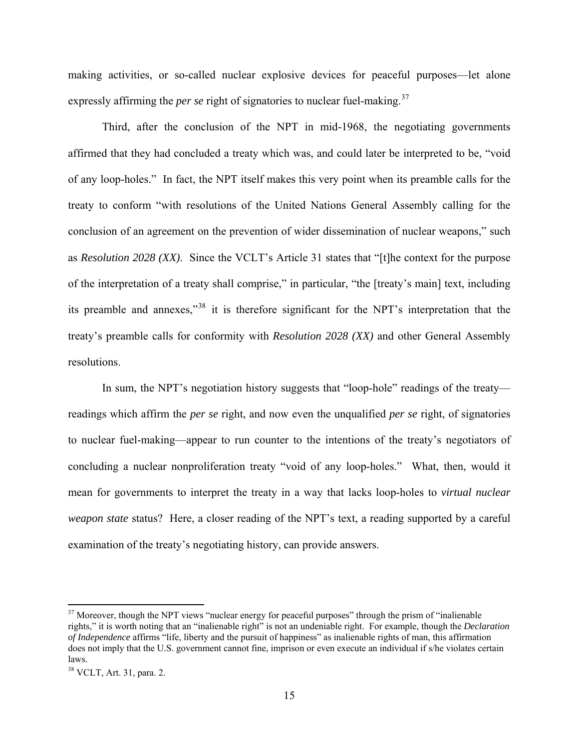making activities, or so-called nuclear explosive devices for peaceful purposes—let alone expressly affirming the *per se* right of signatories to nuclear fuel-making.<sup>[37](#page-14-0)</sup>

Third, after the conclusion of the NPT in mid-1968, the negotiating governments affirmed that they had concluded a treaty which was, and could later be interpreted to be, "void of any loop-holes." In fact, the NPT itself makes this very point when its preamble calls for the treaty to conform "with resolutions of the United Nations General Assembly calling for the conclusion of an agreement on the prevention of wider dissemination of nuclear weapons," such as *Resolution 2028 (XX)*. Since the VCLT's Article 31 states that "[t]he context for the purpose of the interpretation of a treaty shall comprise," in particular, "the [treaty's main] text, including its preamble and annexes,"[38](#page-14-1) it is therefore significant for the NPT's interpretation that the treaty's preamble calls for conformity with *Resolution 2028 (XX)* and other General Assembly resolutions.

In sum, the NPT's negotiation history suggests that "loop-hole" readings of the treaty readings which affirm the *per se* right, and now even the unqualified *per se* right, of signatories to nuclear fuel-making—appear to run counter to the intentions of the treaty's negotiators of concluding a nuclear nonproliferation treaty "void of any loop-holes." What, then, would it mean for governments to interpret the treaty in a way that lacks loop-holes to *virtual nuclear weapon state* status? Here, a closer reading of the NPT's text, a reading supported by a careful examination of the treaty's negotiating history, can provide answers.

1

<span id="page-14-0"></span><sup>&</sup>lt;sup>37</sup> Moreover, though the NPT views "nuclear energy for peaceful purposes" through the prism of "inalienable" rights," it is worth noting that an "inalienable right" is not an undeniable right. For example, though the *Declaration of Independence* affirms "life, liberty and the pursuit of happiness" as inalienable rights of man, this affirmation does not imply that the U.S. government cannot fine, imprison or even execute an individual if s/he violates certain laws.

<span id="page-14-1"></span><sup>38</sup> VCLT, Art. 31, para. 2.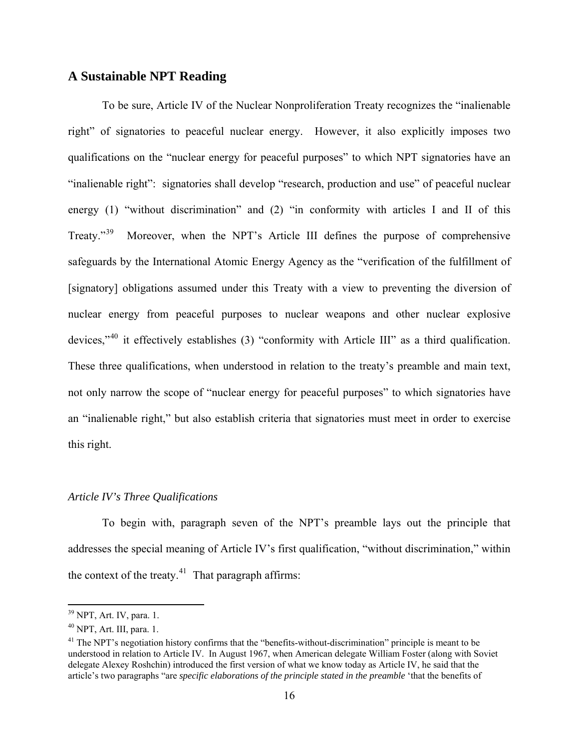## **A Sustainable NPT Reading**

To be sure, Article IV of the Nuclear Nonproliferation Treaty recognizes the "inalienable right" of signatories to peaceful nuclear energy. However, it also explicitly imposes two qualifications on the "nuclear energy for peaceful purposes" to which NPT signatories have an "inalienable right": signatories shall develop "research, production and use" of peaceful nuclear energy (1) "without discrimination" and (2) "in conformity with articles I and II of this Treaty."[39](#page-15-0) Moreover, when the NPT's Article III defines the purpose of comprehensive safeguards by the International Atomic Energy Agency as the "verification of the fulfillment of [signatory] obligations assumed under this Treaty with a view to preventing the diversion of nuclear energy from peaceful purposes to nuclear weapons and other nuclear explosive devices,"[40](#page-15-1) it effectively establishes (3) "conformity with Article III" as a third qualification. These three qualifications, when understood in relation to the treaty's preamble and main text, not only narrow the scope of "nuclear energy for peaceful purposes" to which signatories have an "inalienable right," but also establish criteria that signatories must meet in order to exercise this right.

#### *Article IV's Three Qualifications*

 $\overline{a}$ 

addresses the special meaning of Article IV's first qualification, "without discrimination," within the context of the treaty. $41$  That paragraph affirms: To begin with, paragraph seven of the NPT's preamble lays out the principle that

<span id="page-15-0"></span><sup>39</sup> NPT, Art. IV, para. 1.

<span id="page-15-1"></span> $^{40}$  NPT, Art. III, para. 1.

understood in relation to Article IV. In August 1967, when American delegate William Foster (along with Soviet <sup>41</sup> The NPT's negotiation history confirms that the "benefits-without-discrimination" principle is meant to be delegate Alexey Roshchin) introduced the first version of what we know today as Article IV, he said that the article's two paragraphs "are *specific elaborations of the principle stated in the preamble* 'that the benefits of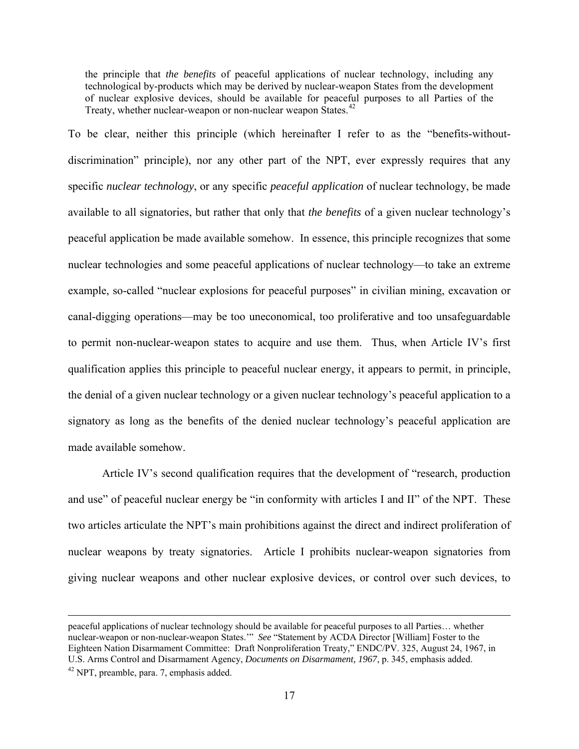the principle that *the benefits* of peaceful applications of nuclear technology, including any technological by-products which may be derived by nuclear-weapon States from the development of nuclear explosive devices, should be available for peaceful purposes to all Parties of the Treaty, whether nuclear-weapon or non-nuclear weapon States.<sup>[42](#page-16-0)</sup>

To be clear, neither this principle (which hereinafter I refer to as the "benefits-withoutdiscrimination" principle), nor any other part of the NPT, ever expressly requires that any specific *nuclear technology*, or any specific *peaceful application* of nuclear technology, be made available to all signatories, but rather that only that *the benefits* of a given nuclear technology's peaceful application be made available somehow. In essence, this principle recognizes that some nuclear technologies and some peaceful applications of nuclear technology—to take an extreme example, so-called "nuclear explosions for peaceful purposes" in civilian mining, excavation or canal-digging operations—may be too uneconomical, too proliferative and too unsafeguardable to permit non-nuclear-weapon states to acquire and use them. Thus, when Article IV's first qualification applies this principle to peaceful nuclear energy, it appears to permit, in principle, the denial of a given nuclear technology or a given nuclear technology's peaceful application to a signatory as long as the benefits of the denied nuclear technology's peaceful application are made available somehow.

Article IV's second qualification requires that the development of "research, production and use" of peaceful nuclear energy be "in conformity with articles I and II" of the NPT. These two articles articulate the NPT's main prohibitions against the direct and indirect proliferation of nuclear weapons by treaty signatories. Article I prohibits nuclear-weapon signatories from giving nuclear weapons and other nuclear explosive devices, or control over such devices, to

<span id="page-16-0"></span>peaceful applications of nuclear technology should be available for peaceful purposes to all Parties… whether nuclear-weapon or non-nuclear-weapon States.'" *See* "Statement by ACDA Director [William] Foster to the Eighteen Nation Disarmament Committee: Draft Nonproliferation Treaty," ENDC/PV. 325, August 24, 1967, in U.S. Arms Control and Disarmament Agency, *Documents on Disarmament*, 1967, p. 345, emphasis added. <sup>42</sup> NPT, preamble, para. 7, emphasis added.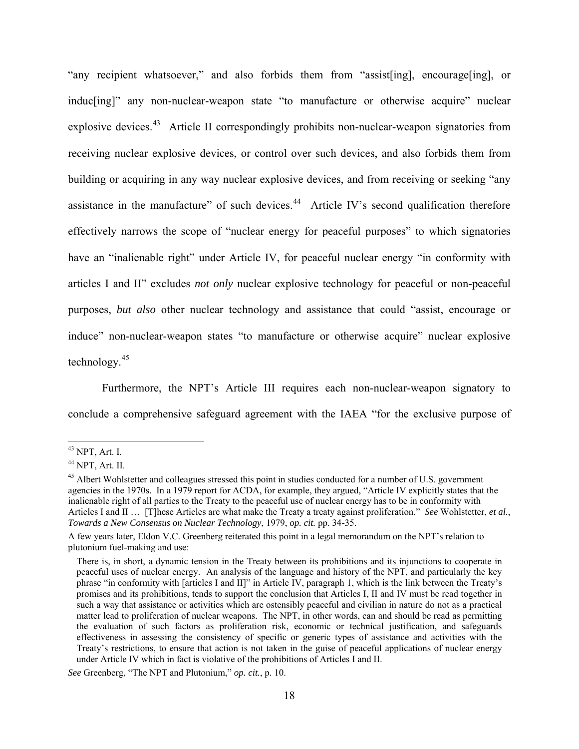"any recipient whatsoever," and also forbids them from "assist[ing], encourage[ing], or induc[ing]" any non-nuclear-weapon state "to manufacture or otherwise acquire" nuclear explosive devices.<sup>[43](#page-17-0)</sup> Article II correspondingly prohibits non-nuclear-weapon signatories from receiving nuclear explosive devices, or control over such devices, and also forbids them from building or acquiring in any way nuclear explosive devices, and from receiving or seeking "any assistance in the manufacture" of such devices.<sup>[44](#page-17-1)</sup> Article IV's second qualification therefore effectively narrows the scope of "nuclear energy for peaceful purposes" to which signatories have an "inalienable right" under Article IV, for peaceful nuclear energy "in conformity with articles I and II" excludes *not only* nuclear explosive technology for peaceful or non-peaceful purposes, *but also* other nuclear technology and assistance that could "assist, encourage or induce" non-nuclear-weapon states "to manufacture or otherwise acquire" nuclear explosive technology.<sup>[45](#page-18-0)</sup>

[Furthermore, the NPT's Article III requires each non-nuclear-weapon signatory to](#page-18-0)  [conclude a comprehensive safeguard agreement with the IAEA "for the exclusive purpose of](#page-18-0) 

<span id="page-17-0"></span> $43$  NPT, Art. I.

<span id="page-17-1"></span><sup>44</sup> NPT, Art. II.

<sup>&</sup>lt;sup>45</sup> Albert Wohlstetter and colleagues stressed this point in studies conducted for a number of U.S. government agencies in the 1970s. In a 1979 report for ACDA, for example, they argued, "Article IV explicitly states that the inalienable right of all parties to the Treaty to the peaceful use of nuclear energy has to be in conformity with Articles I and II … [T]hese Articles are what make the Treaty a treaty against proliferation." *See* Wohlstetter, *et al.*, *Towards a New Consensus on Nuclear Technology*, 1979, *op. cit.* pp. 34-35.

A few years later, Eldon V.C. Greenberg reiterated this point in a legal memorandum on the NPT's relation to plutonium fuel-making and use:

There is, in short, a dynamic tension in the Treaty between its prohibitions and its injunctions to cooperate in peaceful uses of nuclear energy. An analysis of the language and history of the NPT, and particularly the key phrase "in conformity with [articles I and II]" in Article IV, paragraph 1, which is the link between the Treaty's promises and its prohibitions, tends to support the conclusion that Articles I, II and IV must be read together in such a way that assistance or activities which are ostensibly peaceful and civilian in nature do not as a practical matter lead to proliferation of nuclear weapons. The NPT, in other words, can and should be read as permitting the evaluation of such factors as proliferation risk, economic or technical justification, and safeguards effectiveness in assessing the consistency of specific or generic types of assistance and activities with the Treaty's restrictions, to ensure that action is not taken in the guise of peaceful applications of nuclear energy under Article IV which in fact is violative of the prohibitions of Articles I and II.

*See* Greenberg, "The NPT and Plutonium," *op. cit.*, p. 10.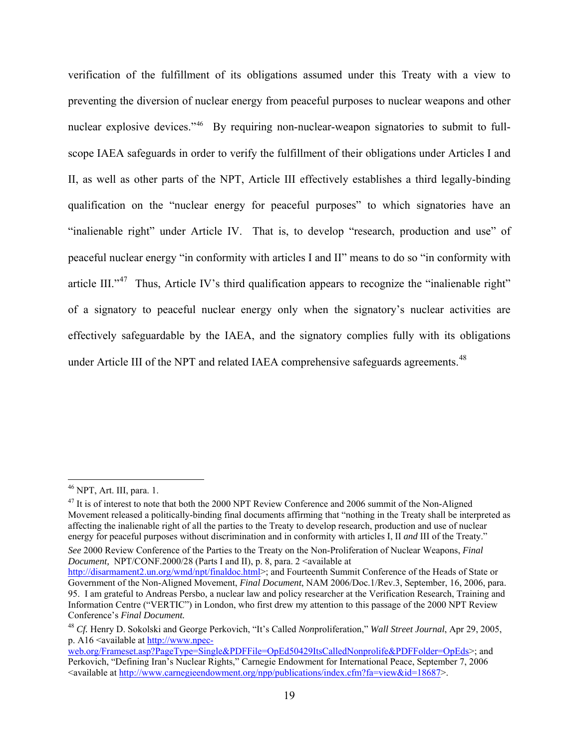[verification of the fulfillment of its obligations assumed under this Treaty with a view to](#page-18-0)  [preventing the diversion of nuclear energy from peaceful purposes to nuclear weapons and other](#page-18-0)  [nuclear explosive devices."](#page-18-0)<sup>46</sup> [By requiring non-nuclear-weapon signatories to submit to full](#page-18-1)[scope IAEA safeguards in order to verify the fulfillment of their obligations under Articles I and](#page-18-1)  [II, as well as other parts of the NPT, Article III effectively establishes a third legally-binding](#page-18-1)  [qualification on the "nuclear energy for peaceful purposes" to which signatories have an](#page-18-1)  ["inalienable right" under Article IV. That is, to develop "research, production and use" of](#page-18-1)  [peaceful nuclear energy "in conformity with articles I and II" means to do so "in conformity with](#page-18-1)  [article III."](#page-18-1)<sup>47</sup> Thus, Article IV's third qualification appears to recognize the "inalienable right" [of a signatory to peaceful nuclear energy only when the signatory's nuclear activities are](#page-18-2)  [effectively safeguardable by the IAEA, and the signatory complies fully with its obl](#page-18-2)igations under Article III of the NPT and related IAEA comprehensive safeguards agreements.<sup>48</sup>

1

*See* 2000 Review Conference of the Parties to the Treaty on the Non-Proliferation of Nuclear Weapons, *Final Document, NPT/CONF.2000/28 (Parts I and II), p. 8, para. 2 <available at* 

<span id="page-18-0"></span><sup>46</sup> NPT, Art. III, para. 1.

<span id="page-18-1"></span><sup>&</sup>lt;sup>47</sup> It is of interest to note that both the 2000 NPT Review Conference and 2006 summit of the Non-Aligned Movement released a politically-binding final documents affirming that "nothing in the Treaty shall be interpreted as affecting the inalienable right of all the parties to the Treaty to develop research, production and use of nuclear energy for peaceful purposes without discrimination and in conformity with articles I, II *and* III of the Treaty."

[http://disarmament2.un.org/wmd/npt/finaldoc.html>](http://disarmament2.un.org/wmd/npt/finaldoc.html); and Fourteenth Summit Conference of the Heads of State or Government of the Non-Aligned Movement, *Final Document*, NAM 2006/Doc.1/Rev.3, September, 16, 2006, para. 95. I am grateful to Andreas Persbo, a nuclear law and policy researcher at the Verification Research, Training and Information Centre ("VERTIC") in London, who first drew my attention to this passage of the 2000 NPT Review Conference's *Final Document.*

<span id="page-18-2"></span><sup>48</sup> *Cf.* Henry D. Sokolski and George Perkovich, "It's Called *Non*proliferation," *Wall Street Journal*, Apr 29, 2005, p. A16 <available at [http://www.npec-](http://www.npec-web.org/Frameset.asp?PageType=Single&PDFFile=OpEd50429ItsCalledNonprolife&PDFFolder=OpEds)

[web.org/Frameset.asp?PageType=Single&PDFFile=OpEd50429ItsCalledNonprolife&PDFFolder=OpEds](http://www.npec-web.org/Frameset.asp?PageType=Single&PDFFile=OpEd50429ItsCalledNonprolife&PDFFolder=OpEds)>; and Perkovich, "Defining Iran's Nuclear Rights," Carnegie Endowment for International Peace, September 7, 2006 <available at<http://www.carnegieendowment.org/npp/publications/index.cfm?fa=view&id=18687>>.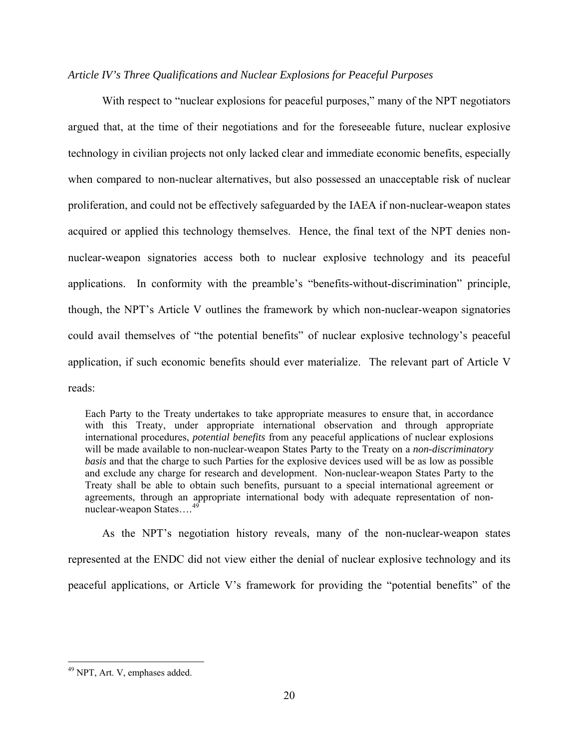#### *Article IV's Three Qualifications and Nuclear Explosions for Peaceful Purposes*

With respect to "nuclear explosions for peaceful purposes," many of the NPT negotiators argued that, at the time of their negotiations and for the foreseeable future, nuclear explosive technology in civilian projects not only lacked clear and immediate economic benefits, especially when compared to non-nuclear alternatives, but also possessed an unacceptable risk of nuclear proliferation, and could not be effectively safeguarded by the IAEA if non-nuclear-weapon states acquired or applied this technology themselves. Hence, the final text of the NPT denies nonnuclear-weapon signatories access both to nuclear explosive technology and its peaceful applications. In conformity with the preamble's "benefits-without-discrimination" principle, though, the NPT's Article V outlines the framework by which non-nuclear-weapon signatories could avail themselves of "the potential benefits" of nuclear explosive technology's peaceful application, if such economic benefits should ever materialize. The relevant part of Article V reads:

Each Party to the Treaty undertakes to take appropriate measures to ensure that, in accordance with this Treaty, under appropriate international observation and through appropriate international procedures, *potential benefits* from any peaceful applications of nuclear explosions will be made available to non-nuclear-weapon States Party to the Treaty on a *non-discriminatory basis* and that the charge to such Parties for the explosive devices used will be as low as possible and exclude any charge for research and development. Non-nuclear-weapon States Party to the Treaty shall be able to obtain such benefits, pursuant to a special international agreement or agreements, through an appropriate international body with adequate representation of nonnuclear-weapon States....<sup>4</sup>

As the NPT's negotiation history reveals, many of the non-nuclear-weapon states represented at the ENDC did not view either the denial of nuclear explosive technology and its peaceful applications, or Article V's framework for providing the "potential benefits" of the

<span id="page-19-0"></span><sup>49</sup> NPT, Art. V, emphases added.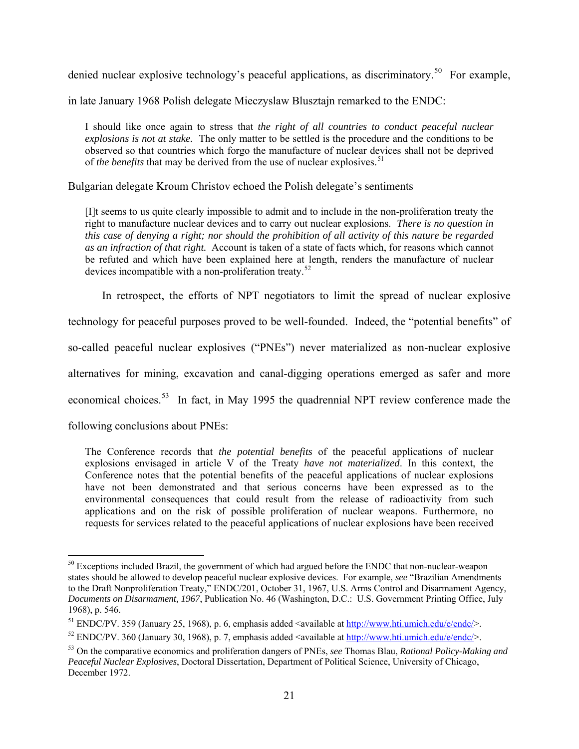denied nuclear explosive technology's peaceful applications, as discriminatory.<sup>[50](#page-20-0)</sup> For example,

in late January 1968 Polish delegate Mieczyslaw Blusztajn remarked to the ENDC:

I should like once again to stress that *the right of all countries to conduct peaceful nuclear explosions is not at stake.* The only matter to be settled is the procedure and the conditions to be observed so that countries which forgo the manufacture of nuclear devices shall not be deprived of *the benefits* that may be derived from the use of nuclear explosives.<sup>[51](#page-20-1)</sup>

Bulgarian delegate Kroum Christov echoed the Polish delegate's sentiments

[I]t seems to us quite clearly impossible to admit and to include in the non-proliferation treaty the right to manufacture nuclear devices and to carry out nuclear explosions. *There is no question in this case of denying a right; nor should the prohibition of all activity of this nature be regarded as an infraction of that right.* Account is taken of a state of facts which, for reasons which cannot be refuted and which have been explained here at length, renders the manufacture of nuclear devices incompatible with a non-proliferation treaty.<sup>[52](#page-20-2)</sup>

In retrospect, the efforts of NPT negotiators to limit the spread of nuclear explosive

technology for peaceful purposes proved to be well-founded. Indeed, the "potential benefits" of

so-called peaceful nuclear explosives ("PNEs") never materialized as non-nuclear explosive

alternatives for mining, excavation and canal-digging operations emerged as safer and more

economical choices.[53](#page-20-3) In fact, in May 1995 the quadrennial NPT review conference made the

following conclusions about PNEs:

The Conference records that *the potential benefits* of the peaceful applications of nuclear explosions envisaged in article V of the Treaty *have not materialized*. In this context, the Conference notes that the potential benefits of the peaceful applications of nuclear explosions have not been demonstrated and that serious concerns have been expressed as to the environmental consequences that could result from the release of radioactivity from such applications and on the risk of possible proliferation of nuclear weapons. Furthermore, no requests for services related to the peaceful applications of nuclear explosions have been received

<span id="page-20-0"></span> $\overline{a}$ <sup>50</sup> Exceptions included Brazil, the government of which had argued before the ENDC that non-nuclear-weapon states should be allowed to develop peaceful nuclear explosive devices. For example, *see* "Brazilian Amendments to the Draft Nonproliferation Treaty," ENDC/201, October 31, 1967, U.S. Arms Control and Disarmament Agency, *Documents on Disarmament, 1967*, Publication No. 46 (Washington, D.C.: U.S. Government Printing Office, July 1968), p. 546.

<span id="page-20-1"></span><sup>&</sup>lt;sup>51</sup> ENDC/PV. 359 (January 25, 1968), p. 6, emphasis added <available at  $\frac{http://www.hti.umich.edu/e/endc/}{http://www.hti.umich.edu/e/endc/}{$  $\frac{http://www.hti.umich.edu/e/endc/}{http://www.hti.umich.edu/e/endc/}{$  $\frac{http://www.hti.umich.edu/e/endc/}{http://www.hti.umich.edu/e/endc/}{$ .<br><sup>52</sup> ENDC/PV. 360 (January 30, 1968), p. 7, emphasis added <available at http://www.hti.umich.edu/e/endc/>.

<span id="page-20-2"></span>

<span id="page-20-3"></span><sup>53</sup> On the comparative economics and proliferation dangers of PNEs, *see* Thomas Blau, *Rational Policy-Making and Peaceful Nuclear Explosives*, Doctoral Dissertation, Department of Political Science, University of Chicago, December 1972.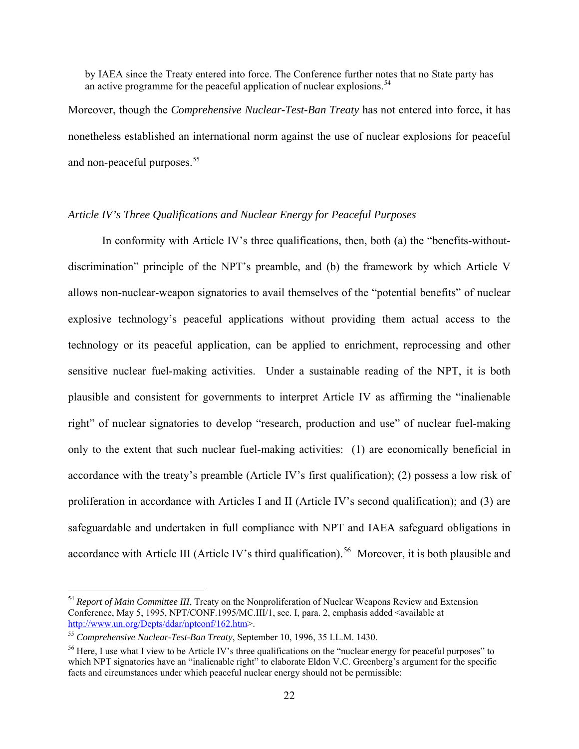by IAEA since the Treaty entered into force. The Conference further notes that no State party has an active programme for the peaceful application of nuclear explosions.<sup>[54](#page-21-0)</sup>

Moreover, though the *Comprehensive Nuclear-Test-Ban Treaty* has not entered into force, it has nonetheless established an international norm against the use of nuclear explosions for peaceful and non-peaceful purposes.<sup>[55](#page-21-1)</sup>

# *Article IV's Three Qualifications and Nuclear Energy for Peaceful Purposes*

In conformity with Article IV's three qualifications, then, both (a) the "benefits-withoutdiscrimination" principle of the NPT's preamble, and (b) the framework by which Article V allows non-nuclear-weapon signatories to avail themselves of the "potential benefits" of nuclear explosive technology's peaceful applications without providing them actual access to the technology or its peaceful application, can be applied to enrichment, reprocessing and other sensitive nuclear fuel-making activities. Under a sustainable reading of the NPT, it is both plausible and consistent for governments to interpret Article IV as affirming the "inalienable right" of nuclear signatories to develop "research, production and use" of nuclear fuel-making only to the extent that such nuclear fuel-making activities: (1) are economically beneficial in accordance with the treaty's preamble (Article IV's first qualification); (2) possess a low risk of proliferation in accordance with Articles I and II (Article IV's second qualification); and (3) are safeguardable and undertaken in full compliance with NPT and IAEA safeguard obligations in accordance with Article III (Article IV's third qualification).<sup>[56](#page-21-2)</sup> Moreover, it is both plausible and

<span id="page-21-0"></span><sup>&</sup>lt;sup>54</sup> *Report of Main Committee III*. Treaty on the Nonproliferation of Nuclear Weapons Review and Extension Conference, May 5, 1995, NPT/CONF.1995/MC.III/1, sec. I, para. 2, emphasis added <available at [http://www.un.org/Depts/ddar/nptconf/162.htm>](http://www.un.org/Depts/ddar/nptconf/162.htm). 55 *Comprehensive Nuclear-Test-Ban Treaty*, September 10, 1996, 35 I.L.M. 1430.

<span id="page-21-1"></span>

<span id="page-21-2"></span><sup>&</sup>lt;sup>56</sup> Here, I use what I view to be Article IV's three qualifications on the "nuclear energy for peaceful purposes" to which NPT signatories have an "inalienable right" to elaborate Eldon V.C. Greenberg's argument for the specific facts and circumstances under which peaceful nuclear energy should not be permissible: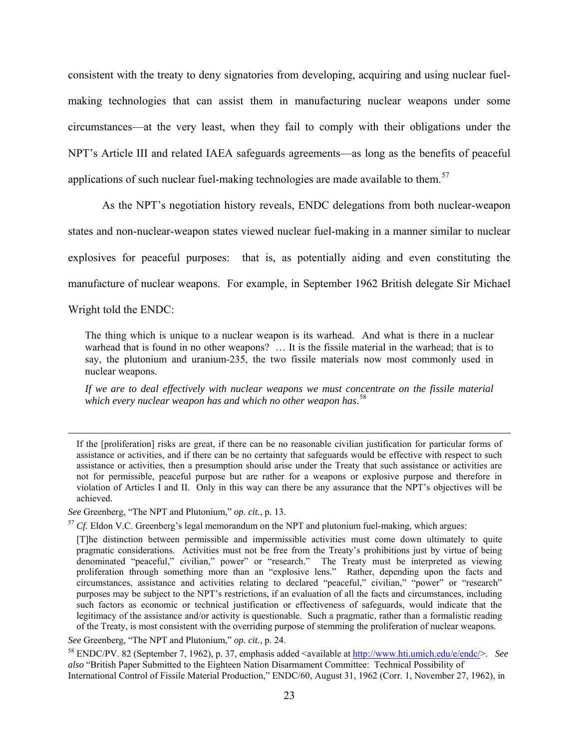consistent with the treaty to deny signatories from developing, acquiring and using nuclear fuelmaking technologies that can assist them in manufacturing nuclear weapons under some circumstances—at the very least, when they fail to comply with their obligations under the NPT's Article III and related IAEA safeguards agreements—as long as the benefits of peaceful applications of such nuclear fuel-making technologies are made available to them.<sup>[57](#page-22-0)</sup>

As the NPT's negotiation history reveals, ENDC delegations from both nuclear-weapon states and non-nuclear-weapon states viewed nuclear fuel-making in a manner similar to nuclear explosives for peaceful purposes: that is, as potentially aiding and even constituting the manufacture of nuclear weapons. For example, in September 1962 British delegate Sir Michael

Wright told the ENDC:

The thing which is unique to a nuclear weapon is its warhead. And what is there in a nuclear warhead that is found in no other weapons? ... It is the fissile material in the warhead; that is to say, the plutonium and uranium-235, the two fissile materials now most commonly used in nuclear weapons.

*If we are to deal effectively with nuclear weapons we must concentrate on the fissile material which every nuclear weapon has and which no other weapon has*. [58](#page-22-1)

If the [proliferation] risks are great, if there can be no reasonable civilian justification for particular forms of assistance or activities, and if there can be no certainty that safeguards would be effective with respect to such assistance or activities, then a presumption should arise under the Treaty that such assistance or activities are not for permissible, peaceful purpose but are rather for a weapons or explosive purpose and therefore in violation of Articles I and II. Only in this way can there be any assurance that the NPT's objectives will be achieved.

<span id="page-22-0"></span>

*See* Greenberg, "The NPT and Plutonium," *op. cit.*, p. 13.<br><sup>57</sup> *Cf.* Eldon V.C. Greenberg's legal memorandum on the NPT and plutonium fuel-making, which argues:

<sup>[</sup>T]he distinction between permissible and impermissible activities must come down ultimately to quite pragmatic considerations. Activities must not be free from the Treaty's prohibitions just by virtue of being denominated "peaceful," civilian," power" or "research." The Treaty must be interpreted as viewing proliferation through something more than an "explosive lens." Rather, depending upon the facts and circumstances, assistance and activities relating to declared "peaceful," civilian," "power" or "research" purposes may be subject to the NPT's restrictions, if an evaluation of all the facts and circumstances, including such factors as economic or technical justification or effectiveness of safeguards, would indicate that the legitimacy of the assistance and/or activity is questionable. Such a pragmatic, rather than a formalistic reading of the Treaty, is most consistent with the overriding purpose of stemming the proliferation of nuclear weapons.

<span id="page-22-1"></span>*See* Greenberg, "The NPT and Plutonium," *op. cit.*, p. 24.<br><sup>58</sup> ENDC/PV. 82 (September 7, 1962), p. 37, emphasis added <available at<http://www.hti.umich.edu/e/endc/>>. *See also* "British Paper Submitted to the Eighteen Nation Disarmament Committee: Technical Possibility of International Control of Fissile Material Production," ENDC/60, August 31, 1962 (Corr. 1, November 27, 1962), in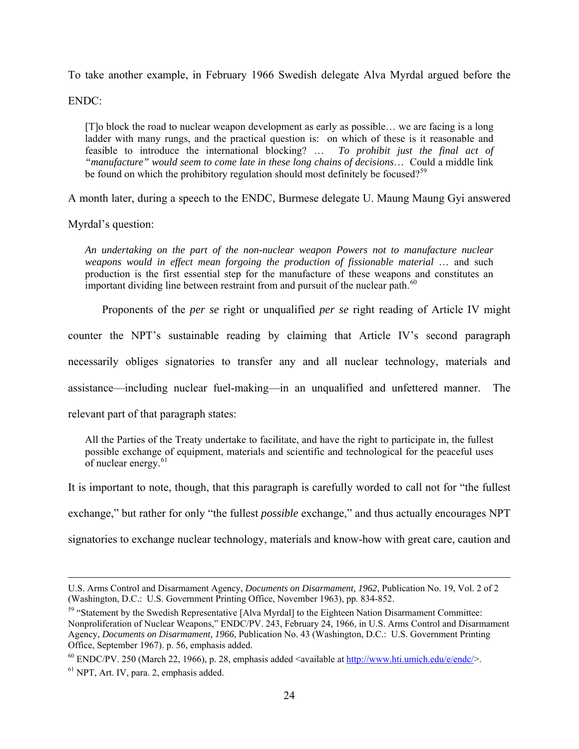To take another example, in February 1966 Swedish delegate Alva Myrdal argued before the

ENDC:

[T]o block the road to nuclear weapon development as early as possible… we are facing is a long ladder with many rungs, and the practical question is: on which of these is it reasonable and feasible to introduce the international blocking? … *To prohibit just the final act of "manufacture" would seem to come late in these long chains of decisions*… Could a middle link be found on which the prohibitory regulation should most definitely be focused?<sup>[59](#page-23-0)</sup>

A month later, during a speech to the ENDC, Burmese delegate U. Maung Maung Gyi answered

Myrdal's question:

*An undertaking on the part of the non-nuclear weapon Powers not to manufacture nuclear weapons would in effect mean forgoing the production of fissionable material* … and such production is the first essential step for the manufacture of these weapons and constitutes an important dividing line between restraint from and pursuit of the nuclear path. $60$ 

Proponents of the *per se* right or unqualified *per se* right reading of Article IV might

counter the NPT's sustainable reading by claiming that Article IV's second paragraph

necessarily obliges signatories to transfer any and all nuclear technology, materials and

assistance—including nuclear fuel-making—in an unqualified and unfettered manner. The

relevant part of that paragraph states:

All the Parties of the Treaty undertake to facilitate, and have the right to participate in, the fullest possible exchange of equipment, materials and scientific and technological for the peaceful uses of nuclear energy.<sup>[61](#page-23-2)</sup>

It is important to note, though, that this paragraph is carefully worded to call not for "the fullest

exchange," but rather for only "the fullest *possible* exchange," and thus actually encourages NPT

signatories to exchange nuclear technology, materials and know-how with great care, caution and

U.S. Arms Control and Disarmament Agency, *Documents on Disarmament, 1962*, Publication No. 19, Vol. 2 of 2 (Washington, D.C.: U.S. Government Printing Office, November 1963), pp. 834-852.

<span id="page-23-0"></span><sup>59 &</sup>quot;Statement by the Swedish Representative [Alva Myrdal] to the Eighteen Nation Disarmament Committee: Nonproliferation of Nuclear Weapons," ENDC/PV. 243, February 24, 1966, in U.S. Arms Control and Disarmament Agency, *Documents on Disarmament, 1966*, Publication No. 43 (Washington, D.C.: U.S. Government Printing Office, September 1967). p. 56, emphasis added.

<span id="page-23-1"></span><sup>&</sup>lt;sup>60</sup> ENDC/PV. 250 (March 22, 1966), p. 28, emphasis added <available at  $\frac{http://www.hti.umich.edu/e/endc/}{\text{NPT}}$  $\frac{http://www.hti.umich.edu/e/endc/}{\text{NPT}}$  $\frac{http://www.hti.umich.edu/e/endc/}{\text{NPT}}$ . Art. IV, para. 2, emphasis added.

<span id="page-23-2"></span>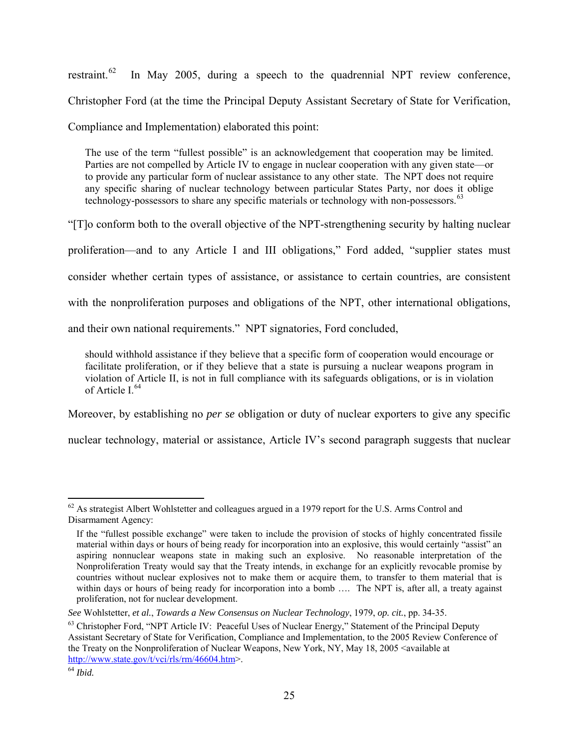restraint.<sup>[62](#page-24-0)</sup> In May 2005, during a speech to the quadrennial NPT review conference, Christopher Ford (at the time the Principal Deputy Assistant Secretary of State for Verification, Compliance and Implementation) elaborated this point:

The use of the term "fullest possible" is an acknowledgement that cooperation may be limited. Parties are not compelled by Article IV to engage in nuclear cooperation with any given state—or to provide any particular form of nuclear assistance to any other state. The NPT does not require any specific sharing of nuclear technology between particular States Party, nor does it oblige technology-possessors to share any specific materials or technology with non-possessors.<sup>[63](#page-24-1)</sup>

"[T]o conform both to the overall objective of the NPT-strengthening security by halting nuclear

proliferation—and to any Article I and III obligations," Ford added, "supplier states must

consider whether certain types of assistance, or assistance to certain countries, are consistent

with the nonproliferation purposes and obligations of the NPT, other international obligations,

and their own national requirements." NPT signatories, Ford concluded,

should withhold assistance if they believe that a specific form of cooperation would encourage or facilitate proliferation, or if they believe that a state is pursuing a nuclear weapons program in violation of Article II, is not in full compliance with its safeguards obligations, or is in violation of Article I $64$ 

Moreover, by establishing no *per se* obligation or duty of nuclear exporters to give any specific

nuclear technology, material or assistance, Article IV's second paragraph suggests that nuclear

<span id="page-24-0"></span> $\overline{a}$  $62$  As strategist Albert Wohlstetter and colleagues argued in a 1979 report for the U.S. Arms Control and Disarmament Agency:

If the "fullest possible exchange" were taken to include the provision of stocks of highly concentrated fissile material within days or hours of being ready for incorporation into an explosive, this would certainly "assist" an aspiring nonnuclear weapons state in making such an explosive. No reasonable interpretation of the Nonproliferation Treaty would say that the Treaty intends, in exchange for an explicitly revocable promise by countries without nuclear explosives not to make them or acquire them, to transfer to them material that is within days or hours of being ready for incorporation into a bomb .... The NPT is, after all, a treaty against proliferation, not for nuclear development.

<span id="page-24-1"></span>See Wohlstetter, et al., Towards a New Consensus on Nuclear Technology, 1979, op. cit., pp. 34-35.<br><sup>63</sup> Christopher Ford, "NPT Article IV: Peaceful Uses of Nuclear Energy," Statement of the Principal Deputy Assistant Secretary of State for Verification, Compliance and Implementation, to the 2005 Review Conference of the Treaty on the Nonproliferation of Nuclear Weapons, New York, NY, May 18, 2005 <available at [http://www.state.gov/t/vci/rls/rm/46604.htm>](http://www.state.gov/t/vci/rls/rm/46604.htm). 64 *Ibid.*

<span id="page-24-2"></span>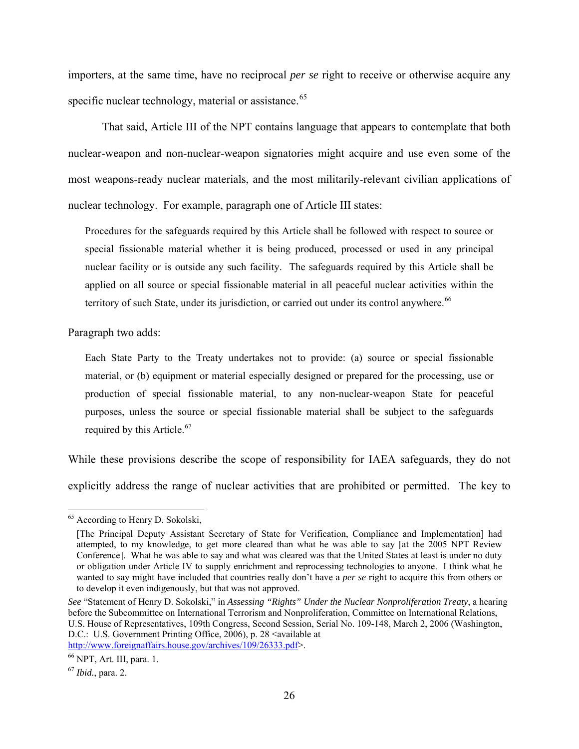importers, at the same time, have no reciprocal *per se* right to receive or otherwise acquire any specific nuclear technology, material or assistance.<sup>[65](#page-25-0)</sup>

That said, Article III of the NPT contains language that appears to contemplate that both nuclear-weapon and non-nuclear-weapon signatories might acquire and use even some of the most weapons-ready nuclear materials, and the most militarily-relevant civilian applications of nuclear technology. For example, paragraph one of Article III states:

Procedures for the safeguards required by this Article shall be followed with respect to source or special fissionable material whether it is being produced, processed or used in any principal nuclear facility or is outside any such facility. The safeguards required by this Article shall be applied on all source or special fissionable material in all peaceful nuclear activities within the territory of such State, under its jurisdiction, or carried out under its control anywhere.<sup>[66](#page-25-1)</sup>

Paragraph two adds:

Each State Party to the Treaty undertakes not to provide: (a) source or special fissionable material, or (b) equipment or material especially designed or prepared for the processing, use or production of special fissionable material, to any non-nuclear-weapon State for peaceful purposes, unless the source or special fissionable material shall be subject to the safeguards required by this Article.<sup>[67](#page-25-2)</sup>

While these provisions describe the scope of responsibility for IAEA safeguards, they do not explicitly address the range of nuclear activities that are prohibited or permitted. The key to

<span id="page-25-0"></span><sup>&</sup>lt;sup>65</sup> According to Henry D. Sokolski,

<sup>[</sup>The Principal Deputy Assistant Secretary of State for Verification, Compliance and Implementation] had attempted, to my knowledge, to get more cleared than what he was able to say [at the 2005 NPT Review Conference]. What he was able to say and what was cleared was that the United States at least is under no duty or obligation under Article IV to supply enrichment and reprocessing technologies to anyone. I think what he wanted to say might have included that countries really don't have a *per se* right to acquire this from others or to develop it even indigenously, but that was not approved.

*See* "Statement of Henry D. Sokolski," in *Assessing "Rights" Under the Nuclear Nonproliferation Treaty*, a hearing before the Subcommittee on International Terrorism and Nonproliferation, Committee on International Relations, U.S. House of Representatives, 109th Congress, Second Session, Serial No. 109-148, March 2, 2006 (Washington, D.C.: U.S. Government Printing Office, 2006), p. 28 <available at <http://www.foreignaffairs.house.gov/archives/109/26333.pdf>>.<br><sup>66</sup> NPT, Art. III, para. 1.

<span id="page-25-1"></span>

<span id="page-25-2"></span><sup>67</sup> *Ibid.*, para. 2.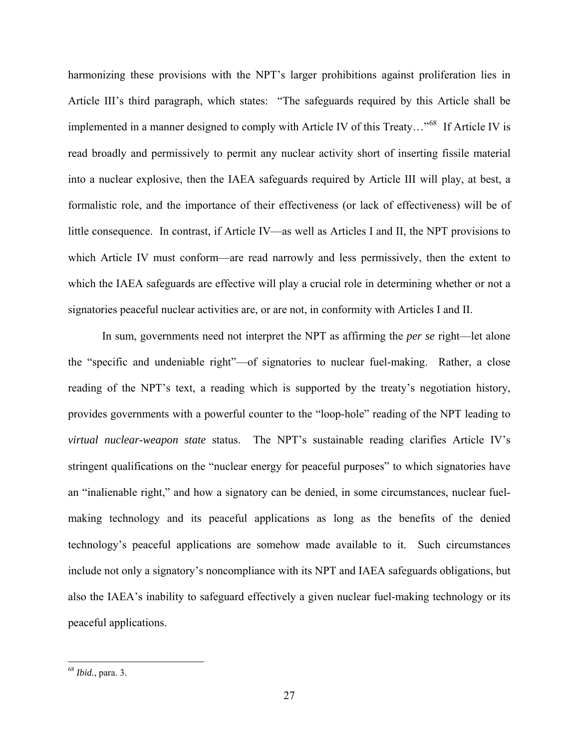harmonizing these provisions with the NPT's larger prohibitions against proliferation lies in Article III's third paragraph, which states: "The safeguards required by this Article shall be implemented in a manner designed to comply with Article IV of this Treaty…"[68](#page-26-0) If Article IV is read broadly and permissively to permit any nuclear activity short of inserting fissile material into a nuclear explosive, then the IAEA safeguards required by Article III will play, at best, a formalistic role, and the importance of their effectiveness (or lack of effectiveness) will be of little consequence. In contrast, if Article IV—as well as Articles I and II, the NPT provisions to which Article IV must conform—are read narrowly and less permissively, then the extent to which the IAEA safeguards are effective will play a crucial role in determining whether or not a signatories peaceful nuclear activities are, or are not, in conformity with Articles I and II.

In sum, governments need not interpret the NPT as affirming the *per se* right—let alone the "specific and undeniable right"—of signatories to nuclear fuel-making. Rather, a close reading of the NPT's text, a reading which is supported by the treaty's negotiation history, provides governments with a powerful counter to the "loop-hole" reading of the NPT leading to *virtual nuclear-weapon state* status. The NPT's sustainable reading clarifies Article IV's stringent qualifications on the "nuclear energy for peaceful purposes" to which signatories have an "inalienable right," and how a signatory can be denied, in some circumstances, nuclear fuelmaking technology and its peaceful applications as long as the benefits of the denied technology's peaceful applications are somehow made available to it. Such circumstances include not only a signatory's noncompliance with its NPT and IAEA safeguards obligations, but also the IAEA's inability to safeguard effectively a given nuclear fuel-making technology or its peaceful applications.

<span id="page-26-0"></span><sup>68</sup> *Ibid.*, para. 3.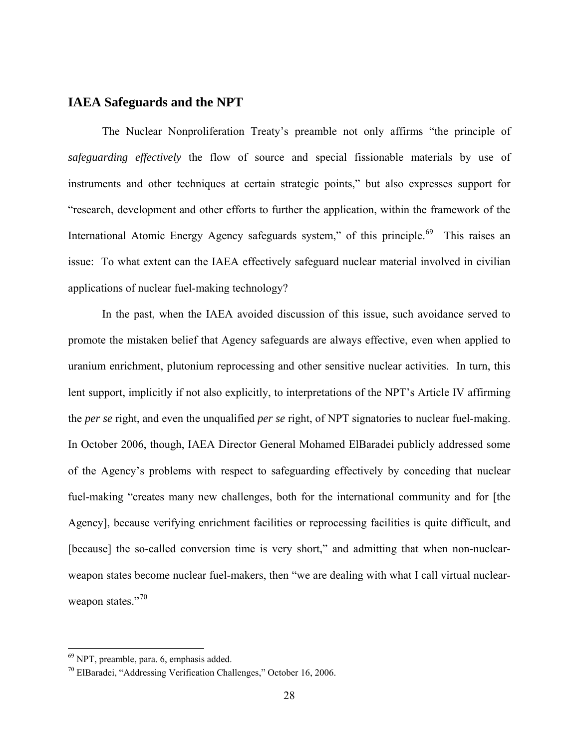# **IAEA Safeguards and the NPT**

The Nuclear Nonproliferation Treaty's preamble not only affirms "the principle of *safeguarding effectively* the flow of source and special fissionable materials by use of instruments and other techniques at certain strategic points," but also expresses support for "research, development and other efforts to further the application, within the framework of the International Atomic Energy Agency safeguards system," of this principle.<sup>[69](#page-27-0)</sup> This raises an issue: To what extent can the IAEA effectively safeguard nuclear material involved in civilian applications of nuclear fuel-making technology?

In the past, when the IAEA avoided discussion of this issue, such avoidance served to promote the mistaken belief that Agency safeguards are always effective, even when applied to uranium enrichment, plutonium reprocessing and other sensitive nuclear activities. In turn, this lent support, implicitly if not also explicitly, to interpretations of the NPT's Article IV affirming the *per se* right, and even the unqualified *per se* right, of NPT signatories to nuclear fuel-making. In October 2006, though, IAEA Director General Mohamed ElBaradei publicly addressed some of the Agency's problems with respect to safeguarding effectively by conceding that nuclear fuel-making "creates many new challenges, both for the international community and for [the Agency], because verifying enrichment facilities or reprocessing facilities is quite difficult, and [because] the so-called conversion time is very short," and admitting that when non-nuclearweapon states become nuclear fuel-makers, then "we are dealing with what I call virtual nuclear-weapon states."<sup>[70](#page-27-1)</sup>

<span id="page-27-0"></span><sup>69</sup> NPT, preamble, para. 6, emphasis added.

<span id="page-27-1"></span> $70$  ElBaradei, "Addressing Verification Challenges," October 16, 2006.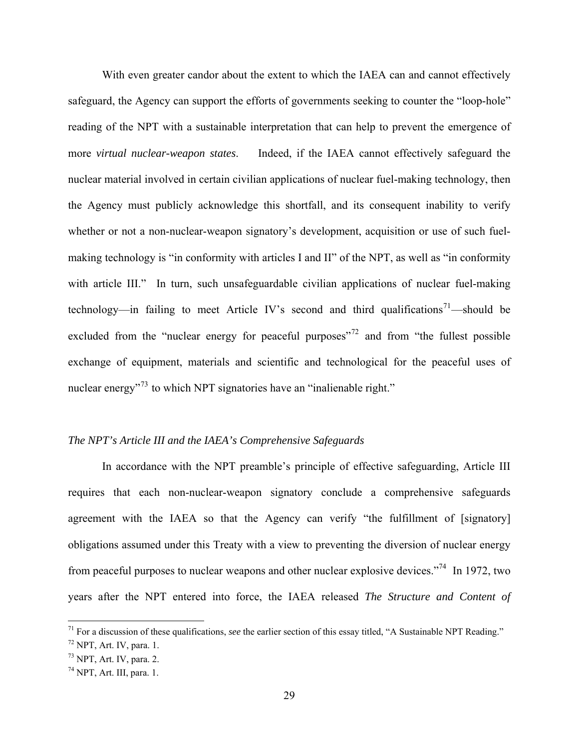With even greater candor about the extent to which the IAEA can and cannot effectively safeguard, the Agency can support the efforts of governments seeking to counter the "loop-hole" reading of the NPT with a sustainable interpretation that can help to prevent the emergence of more *virtual nuclear-weapon states*. Indeed, if the IAEA cannot effectively safeguard the nuclear material involved in certain civilian applications of nuclear fuel-making technology, then the Agency must publicly acknowledge this shortfall, and its consequent inability to verify whether or not a non-nuclear-weapon signatory's development, acquisition or use of such fuelmaking technology is "in conformity with articles I and II" of the NPT, as well as "in conformity with article III." In turn, such unsafeguardable civilian applications of nuclear fuel-making technology—in failing to meet Article IV's second and third qualifications<sup>[71](#page-28-0)</sup>—should be excluded from the "nuclear energy for peaceful purposes"<sup>[72](#page-28-1)</sup> and from "the fullest possible exchange of equipment, materials and scientific and technological for the peaceful uses of nuclear energy<sup>[73](#page-28-2)</sup> to which NPT signatories have an "inalienable right."

#### *The NPT's Article III and the IAEA's Comprehensive Safeguards*

In accordance with the NPT preamble's principle of effective safeguarding, Article III requires that each non-nuclear-weapon signatory conclude a comprehensive safeguards agreement with the IAEA so that the Agency can verify "the fulfillment of [signatory] obligations assumed under this Treaty with a view to preventing the diversion of nuclear energy from peaceful purposes to nuclear weapons and other nuclear explosive devices."[74](#page-28-3) In 1972, two years after the NPT entered into force, the IAEA released *The Structure and Content of* 

<span id="page-28-0"></span><sup>71</sup> For a discussion of these qualifications, *see* the earlier section of this essay titled, "A Sustainable NPT Reading."

<span id="page-28-1"></span> $72$  NPT, Art. IV, para. 1.

<span id="page-28-2"></span> $73$  NPT, Art. IV, para. 2.

<span id="page-28-3"></span> $74$  NPT, Art. III, para. 1.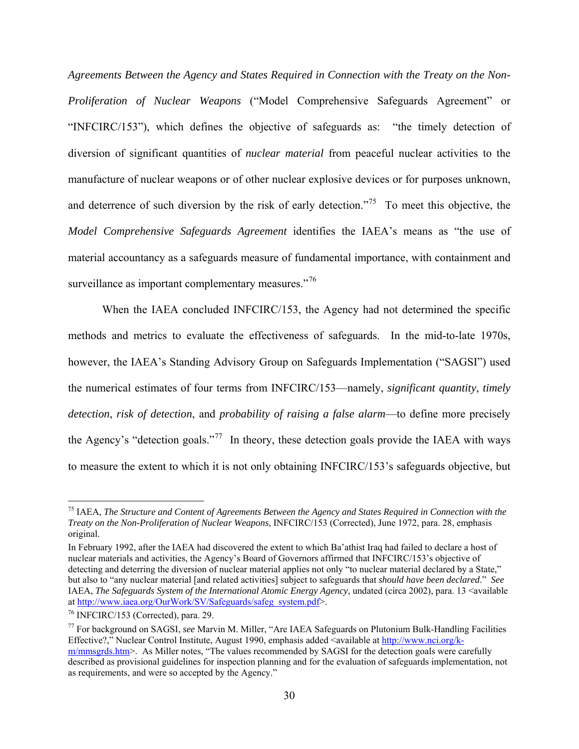*Agreements Between the Agency and States Required in Connection with the Treaty on the Non-Proliferation of Nuclear Weapons* ("Model Comprehensive Safeguards Agreement" or "INFCIRC/153"), which defines the objective of safeguards as: "the timely detection of diversion of significant quantities of *nuclear material* from peaceful nuclear activities to the manufacture of nuclear weapons or of other nuclear explosive devices or for purposes unknown, and deterrence of such diversion by the risk of early detection."<sup>[75](#page-29-0)</sup> To meet this objective, the *Model Comprehensive Safeguards Agreement* identifies the IAEA's means as "the use of material accountancy as a safeguards measure of fundamental importance, with containment and surveillance as important complementary measures."<sup>[76](#page-29-1)</sup>

When the IAEA concluded INFCIRC/153, the Agency had not determined the specific methods and metrics to evaluate the effectiveness of safeguards. In the mid-to-late 1970s, however, the IAEA's Standing Advisory Group on Safeguards Implementation ("SAGSI") used the numerical estimates of four terms from INFCIRC/153—namely, *significant quantity*, *timely detection*, *risk of detection*, and *probability of raising a false alarm*—to define more precisely the Agency's "detection goals."<sup>[77](#page-29-2)</sup> In theory, these detection goals provide the IAEA with ways to measure the extent to which it is not only obtaining INFCIRC/153's safeguards objective, but

1

<span id="page-29-0"></span><sup>75</sup> IAEA, *The Structure and Content of Agreements Between the Agency and States Required in Connection with the Treaty on the Non-Proliferation of Nuclear Weapons*, INFCIRC/153 (Corrected), June 1972, para. 28, emphasis original.

In February 1992, after the IAEA had discovered the extent to which Ba'athist Iraq had failed to declare a host of nuclear materials and activities, the Agency's Board of Governors affirmed that INFCIRC/153's objective of detecting and deterring the diversion of nuclear material applies not only "to nuclear material declared by a State," but also to "any nuclear material [and related activities] subject to safeguards that *should have been declared*." *See*  IAEA, *The Safeguards System of the International Atomic Energy Agency*, undated (circa 2002), para. 13 <available at [http://www.iaea.org/OurWork/SV/Safeguards/safeg\\_system.pdf](http://www.iaea.org/OurWork/SV/Safeguards/safeg_system.pdf)>. 76 INFCIRC/153 (Corrected), para. 29.

<span id="page-29-1"></span>

<span id="page-29-2"></span><sup>77</sup> For background on SAGSI, *see* Marvin M. Miller, "Are IAEA Safeguards on Plutonium Bulk-Handling Facilities Effective?," Nuclear Control Institute, August 1990, emphasis added <available at [http://www.nci.org/k](http://www.nci.org/k-m/mmsgrds.htm)[m/mmsgrds.htm](http://www.nci.org/k-m/mmsgrds.htm)>. As Miller notes, "The values recommended by SAGSI for the detection goals were carefully described as provisional guidelines for inspection planning and for the evaluation of safeguards implementation, not as requirements, and were so accepted by the Agency."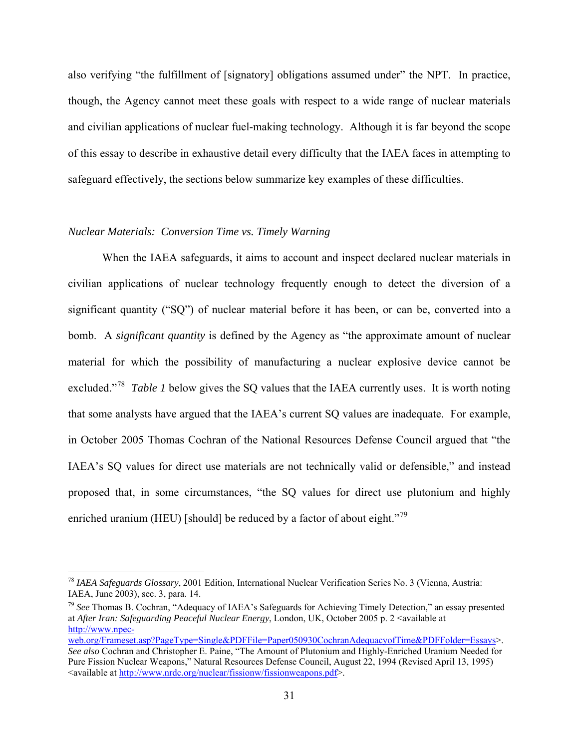also verifying "the fulfillment of [signatory] obligations assumed under" the NPT. In practice, though, the Agency cannot meet these goals with respect to a wide range of nuclear materials and civilian applications of nuclear fuel-making technology. Although it is far beyond the scope of this essay to describe in exhaustive detail every difficulty that the IAEA faces in attempting to safeguard effectively, the sections below summarize key examples of these difficulties.

#### *Nuclear Materials: Conversion Time vs. Timely Warning*

 $\overline{a}$ 

When the IAEA safeguards, it aims to account and inspect declared nuclear materials in civilian applications of nuclear technology frequently enough to detect the diversion of a significant quantity ("SQ") of nuclear material before it has been, or can be, converted into a bomb. A *significant quantity* is defined by the Agency as "the approximate amount of nuclear material for which the possibility of manufacturing a nuclear explosive device cannot be excluded."[78](#page-30-0) *Table 1* below gives the SQ values that the IAEA currently uses. It is worth noting that some analysts have argued that the IAEA's current SQ values are inadequate. For example, in October 2005 Thomas Cochran of the National Resources Defense Council argued that "the IAEA's SQ values for direct use materials are not technically valid or defensible," and instead proposed that, in some circumstances, "the SQ values for direct use plutonium and highly enriched uranium (HEU) [should] be reduced by a factor of about eight."<sup>[79](#page-30-1)</sup>

<span id="page-30-0"></span><sup>78</sup> *IAEA Safeguards Glossary*, 2001 Edition, International Nuclear Verification Series No. 3 (Vienna, Austria: IAEA, June 2003), sec. 3, para. 14. 79 *See* Thomas B. Cochran, "Adequacy of IAEA's Safeguards for Achieving Timely Detection," an essay presented

<span id="page-30-1"></span>at *After Iran: Safeguarding Peaceful Nuclear Energy*, London, UK, October 2005 p. 2 <available at [http://www.npec-](http://www.npec-web.org/Frameset.asp?PageType=Single&PDFFile=Paper050930CochranAdequacyofTime&PDFFolder=Essays)

[web.org/Frameset.asp?PageType=Single&PDFFile=Paper050930CochranAdequacyofTime&PDFFolder=Essays>](http://www.npec-web.org/Frameset.asp?PageType=Single&PDFFile=Paper050930CochranAdequacyofTime&PDFFolder=Essays). *See also* Cochran and Christopher E. Paine, "The Amount of Plutonium and Highly-Enriched Uranium Needed for Pure Fission Nuclear Weapons," Natural Resources Defense Council, August 22, 1994 (Revised April 13, 1995) <available at [http://www.nrdc.org/nuclear/fissionw/fissionweapons.pdf>](http://www.nrdc.org/nuclear/fissionw/fissionweapons.pdf).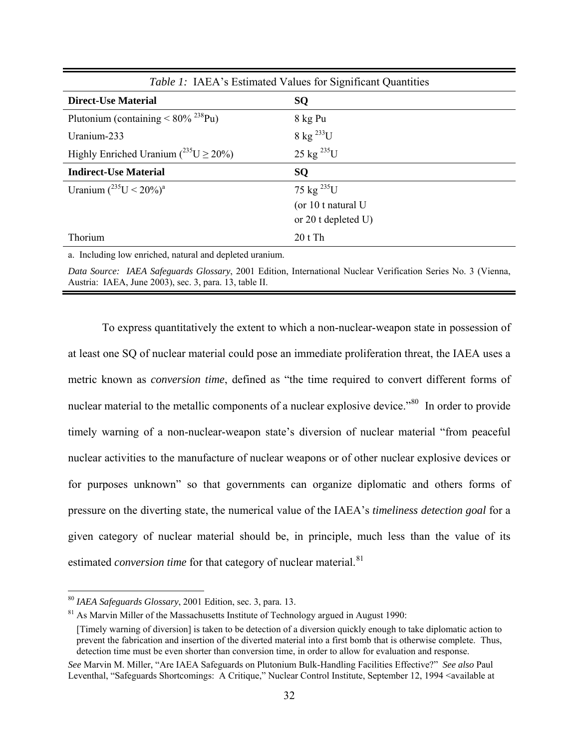| <i>Table 1:</i> IAEA's Estimated Values for Significant Quantities |                                |  |
|--------------------------------------------------------------------|--------------------------------|--|
| <b>Direct-Use Material</b>                                         | <b>SQ</b>                      |  |
| Plutonium (containing $\leq 80\%$ <sup>238</sup> Pu)               | 8 kg Pu                        |  |
| Uranium-233                                                        | $8 \text{ kg}^{233} \text{U}$  |  |
| Highly Enriched Uranium ( $^{235}U \ge 20\%$ )                     | $25 \text{ kg}^{235} \text{U}$ |  |
| <b>Indirect-Use Material</b>                                       | <b>SQ</b>                      |  |
| Uranium $(^{235}U < 20\%)^a$                                       | 75 kg $^{235}$ U               |  |
|                                                                    | (or 10 t natural U             |  |
|                                                                    | or 20 t depleted U)            |  |
| Thorium                                                            | 20 t Th                        |  |

a. Including low enriched, natural and depleted uranium.

*Data Source: IAEA Safeguards Glossary*, 2001 Edition, International Nuclear Verification Series No. 3 (Vienna, Austria: IAEA, June 2003), sec. 3, para. 13, table II.

To express quantitatively the extent to which a non-nuclear-weapon state in possession of at least one SQ of nuclear material could pose an immediate proliferation threat, the IAEA uses a metric known as *conversion time*, defined as "the time required to convert different forms of nuclear material to the metallic components of a nuclear explosive device."<sup>[80](#page-31-0)</sup> In order to provide timely warning of a non-nuclear-weapon state's diversion of nuclear material "from peaceful nuclear activities to the manufacture of nuclear weapons or of other nuclear explosive devices or for purposes unknown" so that governments can organize diplomatic and others forms of pressure on the diverting state, the numerical value of the IAEA's *timeliness detection goal* for a given category of nuclear material should be, in principle, much less than the value of its estimated *conversion time* for that category of nuclear material.<sup>[81](#page-31-1)</sup>

<span id="page-31-0"></span><sup>&</sup>lt;sup>80</sup> IAEA Safeguards Glossary, 2001 Edition, sec. 3, para. 13.

<span id="page-31-1"></span><sup>&</sup>lt;sup>81</sup> As Marvin Miller of the Massachusetts Institute of Technology argued in August 1990:

<sup>[</sup>Timely warning of diversion] is taken to be detection of a diversion quickly enough to take diplomatic action to prevent the fabrication and insertion of the diverted material into a first bomb that is otherwise complete. Thus, detection time must be even shorter than conversion time, in order to allow for evaluation and response.

*See* Marvin M. Miller, "Are IAEA Safeguards on Plutonium Bulk-Handling Facilities Effective?" *See also* Paul Leventhal, "Safeguards Shortcomings: A Critique," Nuclear Control Institute, September 12, 1994 <available at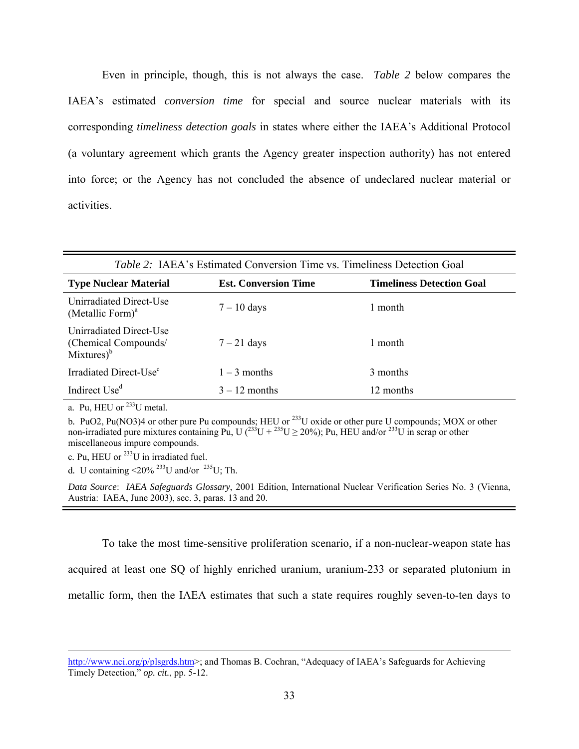Even in principle, though, this is not always the case. *Table 2* below compares the IAEA's estimated *conversion time* for special and source nuclear materials with its corresponding *timeliness detection goals* in states where either the IAEA's Additional Protocol (a voluntary agreement which grants the Agency greater inspection authority) has not entered into force; or the Agency has not concluded the absence of undeclared nuclear material or activities.

| <i>Table 2:</i> IAEA's Estimated Conversion Time vs. Timeliness Detection Goal |                             |                                  |  |  |
|--------------------------------------------------------------------------------|-----------------------------|----------------------------------|--|--|
| <b>Type Nuclear Material</b>                                                   | <b>Est. Conversion Time</b> | <b>Timeliness Detection Goal</b> |  |  |
| Unirradiated Direct-Use<br>(Metallic Form) $a$                                 | $7 - 10$ days               | 1 month                          |  |  |
| Unirradiated Direct-Use<br>(Chemical Compounds/<br>$Mixtures)^{b}$             | $7 - 21$ days               | 1 month                          |  |  |
| Irradiated Direct-Use <sup>c</sup>                                             | $1 - 3$ months              | 3 months                         |  |  |
| Indirect Use <sup>d</sup>                                                      | $3 - 12$ months             | 12 months                        |  |  |

a*.* Pu, HEU or 233U metal.

b*.* PuO2, Pu(NO3)4 or other pure Pu compounds; HEU or 233U oxide or other pure U compounds; MOX or other non-irradiated pure mixtures containing Pu,  $U(^{233}U + ^{235}U \ge 20\%)$ ; Pu, HEU and/or  $^{233}U$  in scrap or other miscellaneous impure compounds.

c*.* Pu, HEU or 233U in irradiated fuel.

d. U containing  $\langle 20\% \rangle^{233}$ U and/or  $^{235}$ U; Th.

*Data Source*: *IAEA Safeguards Glossary*, 2001 Edition, International Nuclear Verification Series No. 3 (Vienna, Austria: IAEA, June 2003), sec. 3, paras. 13 and 20.

To take the most time-sensitive proliferation scenario, if a non-nuclear-weapon state has acquired at least one SQ of highly enriched uranium, uranium-233 or separated plutonium in metallic form, then the IAEA estimates that such a state requires roughly seven-to-ten days to

[http://www.nci.org/p/plsgrds.htm>](http://www.nci.org/p/plsgrds.htm); and Thomas B. Cochran, "Adequacy of IAEA's Safeguards for Achieving Timely Detection," *op. cit.*, pp. 5-12.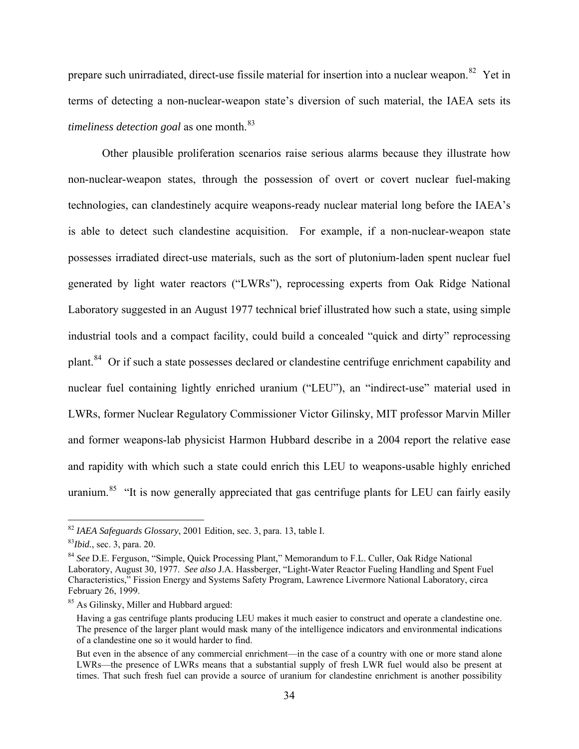prepare such unirradiated, direct-use fissile material for insertion into a nuclear weapon.[82](#page-33-0) Yet in terms of detecting a non-nuclear-weapon state's diversion of such material, the IAEA sets its *timeliness detection goal* as one month.<sup>[83](#page-33-1)</sup>

Other plausible proliferation scenarios raise serious alarms because they illustrate how non-nuclear-weapon states, through the possession of overt or covert nuclear fuel-making technologies, can clandestinely acquire weapons-ready nuclear material long before the IAEA's is able to detect such clandestine acquisition. For example, if a non-nuclear-weapon state possesses irradiated direct-use materials, such as the sort of plutonium-laden spent nuclear fuel generated by light water reactors ("LWRs"), reprocessing experts from Oak Ridge National Laboratory suggested in an August 1977 technical brief illustrated how such a state, using simple industrial tools and a compact facility, could build a concealed "quick and dirty" reprocessing plant.[84](#page-33-2) Or if such a state possesses declared or clandestine centrifuge enrichment capability and nuclear fuel containing lightly enriched uranium ("LEU"), an "indirect-use" material used in LWRs, former Nuclear Regulatory Commissioner Victor Gilinsky, MIT professor Marvin Miller and former weapons-lab physicist Harmon Hubbard describe in a 2004 report the relative ease and rapidity with which such a state could enrich this LEU to weapons-usable highly enriched uranium.<sup>[85](#page-33-3)</sup> "It is now generally appreciated that gas centrifuge plants for LEU can fairly easily

<span id="page-33-0"></span><sup>82</sup> *IAEA Safeguards Glossary*, 2001 Edition, sec. 3, para. 13, table I. 83*Ibid.*, sec. 3, para. 20.

<span id="page-33-1"></span>

<span id="page-33-2"></span><sup>84</sup> *See* D.E. Ferguson, "Simple, Quick Processing Plant," Memorandum to F.L. Culler, Oak Ridge National Laboratory, August 30, 1977. *See also* J.A. Hassberger, "Light-Water Reactor Fueling Handling and Spent Fuel Characteristics," Fission Energy and Systems Safety Program, Lawrence Livermore National Laboratory, circa February 26, 1999.

<span id="page-33-3"></span><sup>&</sup>lt;sup>85</sup> As Gilinsky, Miller and Hubbard argued:

Having a gas centrifuge plants producing LEU makes it much easier to construct and operate a clandestine one. The presence of the larger plant would mask many of the intelligence indicators and environmental indications of a clandestine one so it would harder to find.

But even in the absence of any commercial enrichment—in the case of a country with one or more stand alone LWRs—the presence of LWRs means that a substantial supply of fresh LWR fuel would also be present at times. That such fresh fuel can provide a source of uranium for clandestine enrichment is another possibility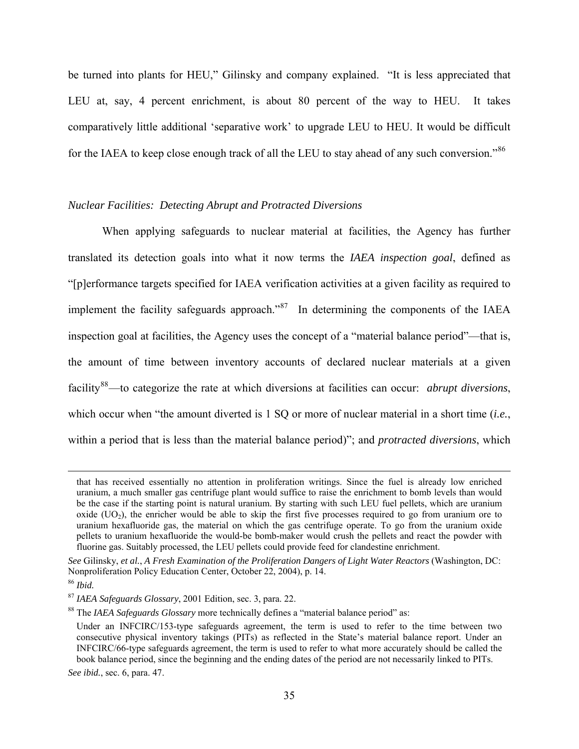be turned into plants for HEU," Gilinsky and company explained. "It is less appreciated that LEU at, say, 4 percent enrichment, is about 80 percent of the way to HEU. It takes comparatively little additional 'separative work' to upgrade LEU to HEU. It would be difficult for the IAEA to keep close enough track of all the LEU to stay ahead of any such conversion."<sup>[86](#page-34-0)</sup>

#### *Nuclear Facilities: Detecting Abrupt and Protracted Diversions*

When applying safeguards to nuclear material at facilities, the Agency has further translated its detection goals into what it now terms the *IAEA inspection goal*, defined as "[p]erformance targets specified for IAEA verification activities at a given facility as required to implement the facility safeguards approach."<sup>[87](#page-34-1)</sup> In determining the components of the IAEA inspection goal at facilities, the Agency uses the concept of a "material balance period"—that is, the amount of time between inventory accounts of declared nuclear materials at a given facility[88](#page-34-2)—to categorize the rate at which diversions at facilities can occur: *abrupt diversions*, which occur when "the amount diverted is 1 SQ or more of nuclear material in a short time (*i.e.*, within a period that is less than the material balance period)"; and *protracted diversions*, which

that has received essentially no attention in proliferation writings. Since the fuel is already low enriched uranium, a much smaller gas centrifuge plant would suffice to raise the enrichment to bomb levels than would be the case if the starting point is natural uranium. By starting with such LEU fuel pellets, which are uranium oxide  $(UO<sub>2</sub>)$ , the enricher would be able to skip the first five processes required to go from uranium ore to uranium hexafluoride gas, the material on which the gas centrifuge operate. To go from the uranium oxide pellets to uranium hexafluoride the would-be bomb-maker would crush the pellets and react the powder with fluorine gas. Suitably processed, the LEU pellets could provide feed for clandestine enrichment.

*See* Gilinsky, *et al.*, *A Fresh Examination of the Proliferation Dangers of Light Water Reactors* (Washington, DC: Nonproliferation Policy Education Center, October 22, 2004), p. 14.

<span id="page-34-0"></span><sup>86</sup> *Ibid.*

<span id="page-34-2"></span><span id="page-34-1"></span><sup>&</sup>lt;sup>87</sup> *IAEA Safeguards Glossary*, 2001 Edition, sec. 3, para. 22.<br><sup>88</sup> The *IAEA Safeguards Glossary* more technically defines a "material balance period" as:

Under an INFCIRC/153-type safeguards agreement, the term is used to refer to the time between two consecutive physical inventory takings (PITs) as reflected in the State's material balance report. Under an INFCIRC/66-type safeguards agreement, the term is used to refer to what more accurately should be called the book balance period, since the beginning and the ending dates of the period are not necessarily linked to PITs.

*See ibid.*, sec. 6, para. 47.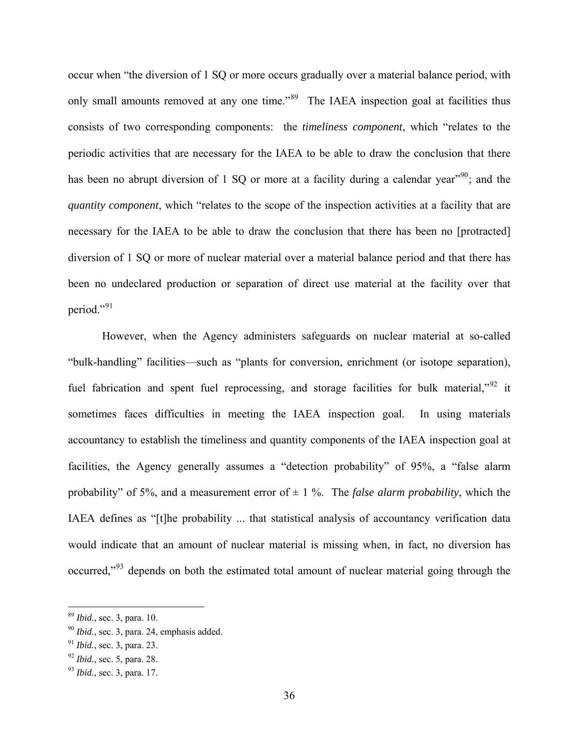occur when "the diversion of 1 SQ or more occurs gradually over a material balance period, with only small amounts removed at any one time."<sup>[89](#page-35-0)</sup> The IAEA inspection goal at facilities thus consists of two corresponding components: the *timeliness component*, which "relates to the periodic activities that are necessary for the IAEA to be able to draw the conclusion that there has been no abrupt diversion of 1 SQ or more at a facility during a calendar year<sup> $.90$  $.90$ </sup>; and the *quantity component*, which "relates to the scope of the inspection activities at a facility that are necessary for the IAEA to be able to draw the conclusion that there has been no [protracted] diversion of 1 SQ or more of nuclear material over a material balance period and that there has been no undeclared production or separation of direct use material at the facility over that period."[91](#page-35-2)

However, when the Agency administers safeguards on nuclear material at so-called "bulk-handling" facilities—such as "plants for conversion, enrichment (or isotope separation), fuel fabrication and spent fuel reprocessing, and storage facilities for bulk material,<sup>"[92](#page-35-3)</sup> it sometimes faces difficulties in meeting the IAEA inspection goal. In using materials accountancy to establish the timeliness and quantity components of the IAEA inspection goal at facilities, the Agency generally assumes a "detection probability" of 95%, a "false alarm probability" of 5%, and a measurement error of  $\pm$  1%. The *false alarm probability*, which the IAEA defines as "[t]he probability ... that statistical analysis of accountancy verification data would indicate that an amount of nuclear material is missing when, in fact, no diversion has occurred,"<sup>[93](#page-35-4)</sup> depends on both the estimated total amount of nuclear material going through the

1

<span id="page-35-1"></span>

<span id="page-35-0"></span> $89$  *Ibid.*, sec. 3, para. 10.  $90$  *Ibid.*, sec. 3, para. 24, emphasis added.

<span id="page-35-2"></span><sup>91</sup> *Ibid.*, sec. 3, para. 23. 92 *Ibid.*, sec. 5, para. 28. 93 *Ibid.*, sec. 3, para. 17.

<span id="page-35-3"></span>

<span id="page-35-4"></span>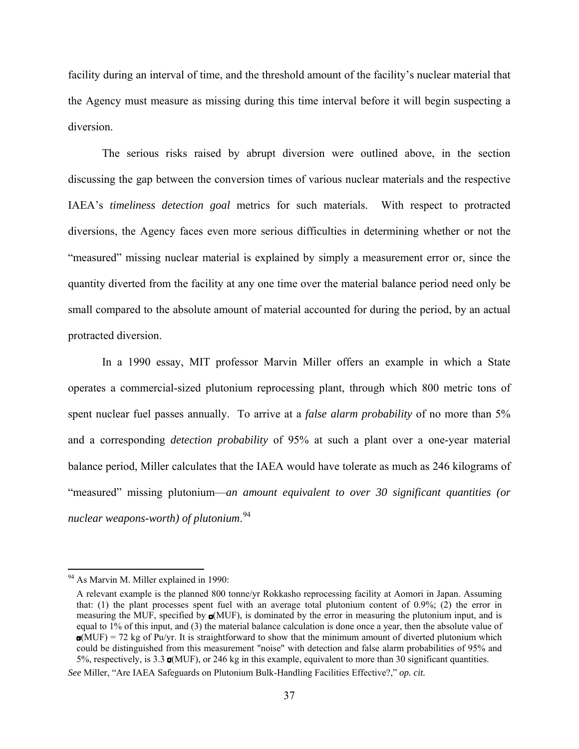facility during an interval of time, and the threshold amount of the facility's nuclear material that the Agency must measure as missing during this time interval before it will begin suspecting a diversion.

The serious risks raised by abrupt diversion were outlined above, in the section discussing the gap between the conversion times of various nuclear materials and the respective IAEA's *timeliness detection goal* metrics for such materials. With respect to protracted diversions, the Agency faces even more serious difficulties in determining whether or not the "measured" missing nuclear material is explained by simply a measurement error or, since the quantity diverted from the facility at any one time over the material balance period need only be small compared to the absolute amount of material accounted for during the period, by an actual protracted diversion.

In a 1990 essay, MIT professor Marvin Miller offers an example in which a State operates a commercial-sized plutonium reprocessing plant, through which 800 metric tons of spent nuclear fuel passes annually. To arrive at a *false alarm probability* of no more than 5% and a corresponding *detection probability* of 95% at such a plant over a one-year material balance period, Miller calculates that the IAEA would have tolerate as much as 246 kilograms of "measured" missing plutonium—*an amount equivalent to over 30 significant quantities (or nuclear weapons-worth) of plutonium*. [94](#page-36-0)

<span id="page-36-0"></span><sup>&</sup>lt;sup>94</sup> As Marvin M. Miller explained in 1990:

A relevant example is the planned 800 tonne/yr Rokkasho reprocessing facility at Aomori in Japan. Assuming that: (1) the plant processes spent fuel with an average total plutonium content of 0.9%; (2) the error in measuring the MUF, specified by  $\sigma$ (MUF), is dominated by the error in measuring the plutonium input, and is equal to 1% of this input, and (3) the material balance calculation is done once a year, then the absolute value of  $\sigma(MUF) = 72$  kg of Pu/yr. It is straightforward to show that the minimum amount of diverted plutonium which could be distinguished from this measurement "noise" with detection and false alarm probabilities of 95% and 5%, respectively, is 3.3  $\sigma$ (MUF), or 246 kg in this example, equivalent to more than 30 significant quantities.

*See* Miller, "Are IAEA Safeguards on Plutonium Bulk-Handling Facilities Effective?," *op. cit.*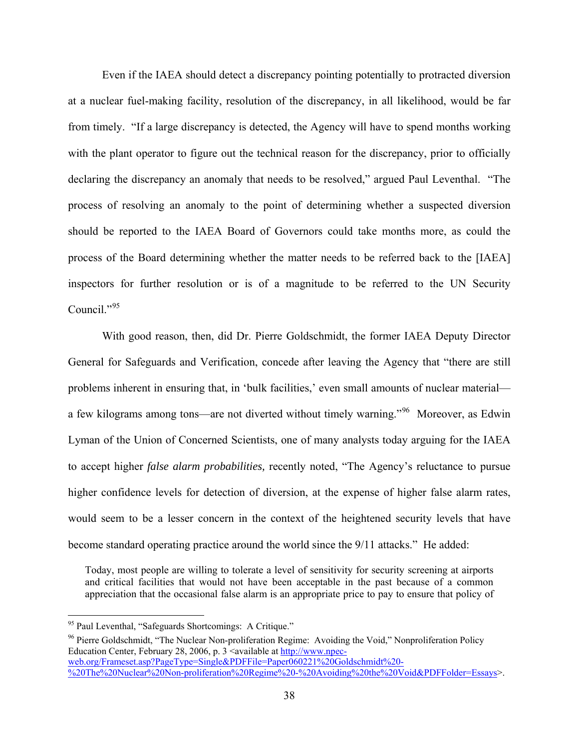Even if the IAEA should detect a discrepancy pointing potentially to protracted diversion at a nuclear fuel-making facility, resolution of the discrepancy, in all likelihood, would be far from timely. "If a large discrepancy is detected, the Agency will have to spend months working with the plant operator to figure out the technical reason for the discrepancy, prior to officially declaring the discrepancy an anomaly that needs to be resolved," argued Paul Leventhal. "The process of resolving an anomaly to the point of determining whether a suspected diversion should be reported to the IAEA Board of Governors could take months more, as could the process of the Board determining whether the matter needs to be referred back to the [IAEA] inspectors for further resolution or is of a magnitude to be referred to the UN Security Council. $^{95}$  $^{95}$  $^{95}$ 

With good reason, then, did Dr. Pierre Goldschmidt, the former IAEA Deputy Director General for Safeguards and Verification, concede after leaving the Agency that "there are still problems inherent in ensuring that, in 'bulk facilities,' even small amounts of nuclear material a few kilograms among tons—are not diverted without timely warning."[96](#page-37-1) Moreover, as Edwin Lyman of the Union of Concerned Scientists, one of many analysts today arguing for the IAEA to accept higher *false alarm probabilities,* recently noted, "The Agency's reluctance to pursue higher confidence levels for detection of diversion, at the expense of higher false alarm rates, would seem to be a lesser concern in the context of the heightened security levels that have become standard operating practice around the world since the 9/11 attacks." He added:

Today, most people are willing to tolerate a level of sensitivity for security screening at airports and critical facilities that would not have been acceptable in the past because of a common appreciation that the occasional false alarm is an appropriate price to pay to ensure that policy of

 $\overline{a}$ 

<span id="page-37-1"></span><sup>96</sup> Pierre Goldschmidt, "The Nuclear Non-proliferation Regime: Avoiding the Void," Nonproliferation Policy Education Center, February 28, 2006, p. 3 <available at [http://www.npec](http://www.npec-web.org/Frameset.asp?PageType=Single&PDFFile=Paper060221%20Goldschmidt%20-%20The%20Nuclear%20Non-proliferation%20Regime%20-%20Avoiding%20the%20Void&PDFFolder=Essays)[web.org/Frameset.asp?PageType=Single&PDFFile=Paper060221%20Goldschmidt%20-](http://www.npec-web.org/Frameset.asp?PageType=Single&PDFFile=Paper060221%20Goldschmidt%20-%20The%20Nuclear%20Non-proliferation%20Regime%20-%20Avoiding%20the%20Void&PDFFolder=Essays) [%20The%20Nuclear%20Non-proliferation%20Regime%20-%20Avoiding%20the%20Void&PDFFolder=Essays>](http://www.npec-web.org/Frameset.asp?PageType=Single&PDFFile=Paper060221%20Goldschmidt%20-%20The%20Nuclear%20Non-proliferation%20Regime%20-%20Avoiding%20the%20Void&PDFFolder=Essays).

<span id="page-37-0"></span><sup>&</sup>lt;sup>95</sup> Paul Leventhal, "Safeguards Shortcomings: A Critique."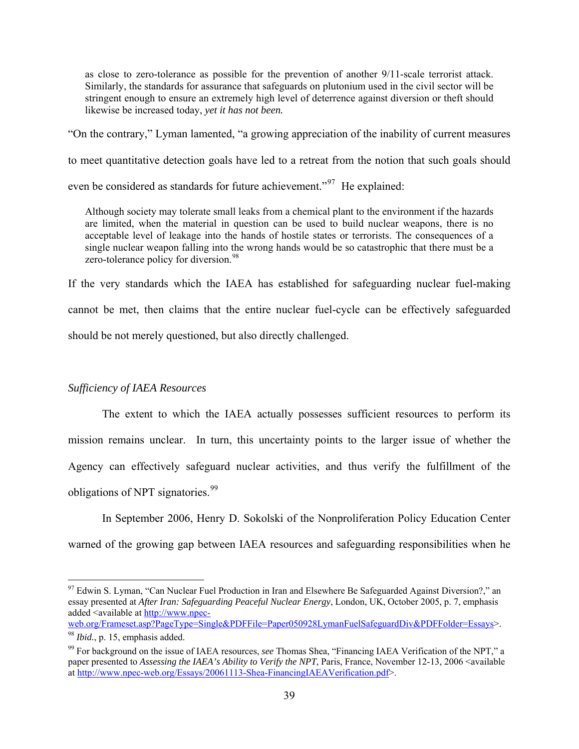as close to zero-tolerance as possible for the prevention of another 9/11-scale terrorist attack. Similarly, the standards for assurance that safeguards on plutonium used in the civil sector will be stringent enough to ensure an extremely high level of deterrence against diversion or theft should likewise be increased today, *yet it has not been.*

"On the contrary," Lyman lamented, "a growing appreciation of the inability of current measures

to meet quantitative detection goals have led to a retreat from the notion that such goals should

even be considered as standards for future achievement."<sup>[97](#page-38-0)</sup> He explained:

Although society may tolerate small leaks from a chemical plant to the environment if the hazards are limited, when the material in question can be used to build nuclear weapons, there is no acceptable level of leakage into the hands of hostile states or terrorists. The consequences of a single nuclear weapon falling into the wrong hands would be so catastrophic that there must be a zero-tolerance policy for diversion.<sup>[98](#page-38-1)</sup>

If the very standards which the IAEA has established for safeguarding nuclear fuel-making cannot be met, then claims that the entire nuclear fuel-cycle can be effectively safeguarded should be not merely questioned, but also directly challenged.

### *Sufficiency of IAEA Resources*

 $\overline{a}$ 

The extent to which the IAEA actually possesses sufficient resources to perform its mission remains unclear. In turn, this uncertainty points to the larger issue of whether the Agency can effectively safeguard nuclear activities, and thus verify the fulfillment of the obligations of NPT signatories.<sup>[99](#page-38-2)</sup>

In September 2006, Henry D. Sokolski of the Nonproliferation Policy Education Center warned of the growing gap between IAEA resources and safeguarding responsibilities when he

<span id="page-38-0"></span><sup>&</sup>lt;sup>97</sup> Edwin S. Lyman, "Can Nuclear Fuel Production in Iran and Elsewhere Be Safeguarded Against Diversion?," an essay presented at *After Iran: Safeguarding Peaceful Nuclear Energy*, London, UK, October 2005, p. 7, emphasis added <available at [http://www.npec-](http://www.npec-web.org/Frameset.asp?PageType=Single&PDFFile=Paper050928LymanFuelSafeguardDiv&PDFFolder=Essays)

[web.org/Frameset.asp?PageType=Single&PDFFile=Paper050928LymanFuelSafeguardDiv&PDFFolder=Essays](http://www.npec-web.org/Frameset.asp?PageType=Single&PDFFile=Paper050928LymanFuelSafeguardDiv&PDFFolder=Essays)>. 98 *Ibid.*, p. 15, emphasis added.

<span id="page-38-2"></span><span id="page-38-1"></span><sup>99</sup> For background on the issue of IAEA resources, *see* Thomas Shea, "Financing IAEA Verification of the NPT," a paper presented to *Assessing the IAEA's Ability to Verify the NPT*, Paris, France, November 12-13, 2006 <available at <http://www.npec-web.org/Essays/20061113-Shea-FinancingIAEAVerification.pdf>>.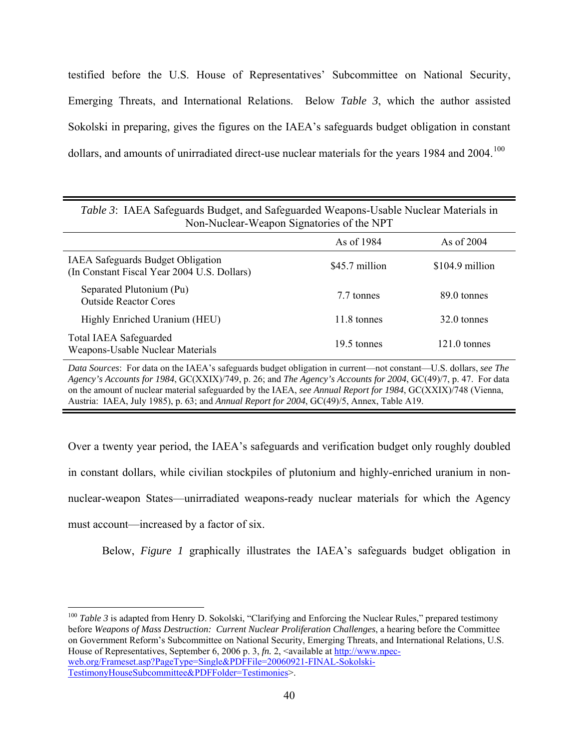testified before the U.S. House of Representatives' Subcommittee on National Security, Emerging Threats, and International Relations. Below *Table 3*, which the author assisted Sokolski in preparing, gives the figures on the IAEA's safeguards budget obligation in constant dollars, and amounts of unirradiated direct-use nuclear materials for the years 1984 and 2004.<sup>[100](#page-39-0)</sup>

| TOII-TOUCHCaI - W Capon Digitatories of the TVI T                                |                |                        |  |
|----------------------------------------------------------------------------------|----------------|------------------------|--|
|                                                                                  | As of 1984     | As of 2004             |  |
| IAEA Safeguards Budget Obligation<br>(In Constant Fiscal Year 2004 U.S. Dollars) | \$45.7 million | \$104.9 million        |  |
| Separated Plutonium (Pu)<br><b>Outside Reactor Cores</b>                         | 7.7 tonnes     | 89.0 tonnes            |  |
| Highly Enriched Uranium (HEU)                                                    | 11.8 tonnes    | 32.0 tonnes            |  |
| <b>Total IAEA Safeguarded</b><br>Weapons-Usable Nuclear Materials                | 19.5 tonnes    | $121.0 \text{ tonnes}$ |  |

*Table 3*: IAEA Safeguards Budget, and Safeguarded Weapons-Usable Nuclear Materials in Non-Nuclear-Weapon Signatories of the NPT

*Data Sources*: For data on the IAEA's safeguards budget obligation in current—not constant—U.S. dollars, *see The Agency's Accounts for 1984*, GC(XXIX)/749, p. 26; and *The Agency's Accounts for 2004*, GC(49)/7, p. 47. For data on the amount of nuclear material safeguarded by the IAEA, *see Annual Report for 1984*, GC(XXIX)/748 (Vienna, Austria: IAEA, July 1985), p. 63; and *Annual Report for 2004*, GC(49)/5, Annex, Table A19.

Over a twenty year period, the IAEA's safeguards and verification budget only roughly doubled in constant dollars, while civilian stockpiles of plutonium and highly-enriched uranium in nonnuclear-weapon States—unirradiated weapons-ready nuclear materials for which the Agency must account—increased by a factor of six.

Below, *Figure 1* graphically illustrates the IAEA's safeguards budget obligation in

<span id="page-39-0"></span><sup>100</sup> Table 3 is adapted from Henry D. Sokolski, "Clarifying and Enforcing the Nuclear Rules," prepared testimony before *Weapons of Mass Destruction: Current Nuclear Proliferation Challenges*, a hearing before the Committee on Government Reform's Subcommittee on National Security, Emerging Threats, and International Relations, U.S. House of Representatives, September 6, 2006 p. 3,  $fn$ . 2, <available at [http://www.npec](http://www.npec-web.org/Frameset.asp?PageType=Single&PDFFile=20060921-FINAL-Sokolski-TestimonyHouseSubcommittee&PDFFolder=Testimonies)[web.org/Frameset.asp?PageType=Single&PDFFile=20060921-FINAL-Sokolski-](http://www.npec-web.org/Frameset.asp?PageType=Single&PDFFile=20060921-FINAL-Sokolski-TestimonyHouseSubcommittee&PDFFolder=Testimonies)[TestimonyHouseSubcommittee&PDFFolder=Testimonies>](http://www.npec-web.org/Frameset.asp?PageType=Single&PDFFile=20060921-FINAL-Sokolski-TestimonyHouseSubcommittee&PDFFolder=Testimonies).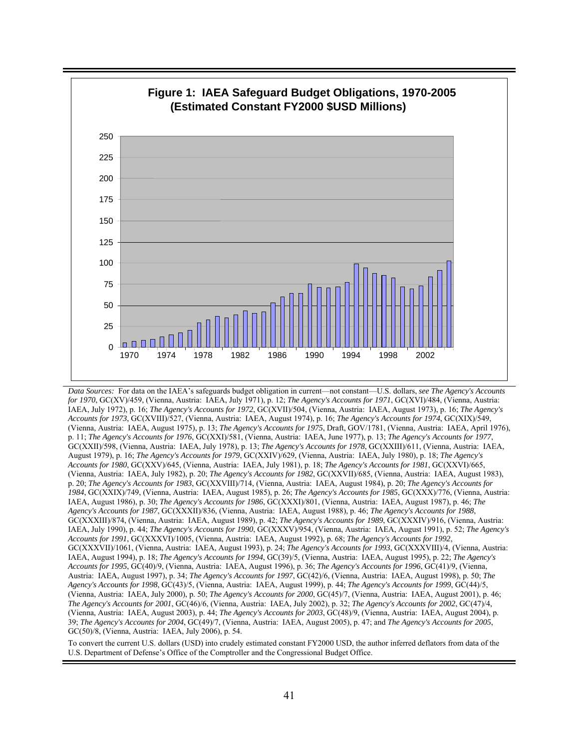

*Data Sources:* For data on the IAEA's safeguards budget obligation in current—not constant—U.S. dollars, *see The Agency's Accounts for 1970*, GC(XV)/459, (Vienna, Austria: IAEA, July 1971), p. 12; *The Agency's Accounts for 1971*, GC(XVI)/484, (Vienna, Austria: IAEA, July 1972), p. 16; *The Agency's Accounts for 1972*, GC(XVII)/504, (Vienna, Austria: IAEA, August 1973), p. 16; *The Agency's Accounts for 1973*, GC(XVIII)/527, (Vienna, Austria: IAEA, August 1974), p. 16; *The Agency's Accounts for 1974*, GC(XIX)/549, (Vienna, Austria: IAEA, August 1975), p. 13; *The Agency's Accounts for 1975*, Draft, GOV/1781, (Vienna, Austria: IAEA, April 1976), p. 11; *The Agency's Accounts for 1976*, GC(XXI)/581, (Vienna, Austria: IAEA, June 1977), p. 13; *The Agency's Accounts for 1977*, GC(XXII)/598, (Vienna, Austria: IAEA, July 1978), p. 13; *The Agency's Accounts for 1978*, GC(XXIII)/611, (Vienna, Austria: IAEA, August 1979), p. 16; *The Agency's Accounts for 1979*, GC(XXIV)/629, (Vienna, Austria: IAEA, July 1980), p. 18; *The Agency's Accounts for 1980*, GC(XXV)/645, (Vienna, Austria: IAEA, July 1981), p. 18; *The Agency's Accounts for 1981*, GC(XXVI)/665, (Vienna, Austria: IAEA, July 1982), p. 20; *The Agency's Accounts for 1982*, GC(XXVII)/685, (Vienna, Austria: IAEA, August 1983), p. 20; *The Agency's Accounts for 1983*, GC(XXVIII)/714, (Vienna, Austria: IAEA, August 1984), p. 20; *The Agency's Accounts for 1984*, GC(XXIX)/749, (Vienna, Austria: IAEA, August 1985), p. 26; *The Agency's Accounts for 1985*, GC(XXX)/776, (Vienna, Austria: IAEA, August 1986), p. 30; *The Agency's Accounts for 1986*, GC(XXXI)/801, (Vienna, Austria: IAEA, August 1987), p. 46; *The Agency's Accounts for 1987*, GC(XXXII)/836, (Vienna, Austria: IAEA, August 1988), p. 46; *The Agency's Accounts for 1988*, GC(XXXIII)/874, (Vienna, Austria: IAEA, August 1989), p. 42; *The Agency's Accounts for 1989*, GC(XXXIV)/916, (Vienna, Austria: IAEA, July 1990), p. 44; *The Agency's Accounts for 1990*, GC(XXXV)/954, (Vienna, Austria: IAEA, August 1991), p. 52; *The Agency's Accounts for 1991*, GC(XXXVI)/1005, (Vienna, Austria: IAEA, August 1992), p. 68; *The Agency's Accounts for 1992*, GC(XXXVII)/1061, (Vienna, Austria: IAEA, August 1993), p. 24; *The Agency's Accounts for 1993*, GC(XXXVIII)/4, (Vienna, Austria: IAEA, August 1994), p. 18; *The Agency's Accounts for 1994*, GC(39)/5, (Vienna, Austria: IAEA, August 1995), p. 22; *The Agency's Accounts for 1995*, GC(40)/9, (Vienna, Austria: IAEA, August 1996), p. 36; *The Agency's Accounts for 1996*, GC(41)/9, (Vienna, Austria: IAEA, August 1997), p. 34; *The Agency's Accounts for 1997*, GC(42)/6, (Vienna, Austria: IAEA, August 1998), p. 50; *The Agency's Accounts for 1998*, GC(43)/5, (Vienna, Austria: IAEA, August 1999), p. 44; *The Agency's Accounts for 1999*, GC(44)/5, (Vienna, Austria: IAEA, July 2000), p. 50; *The Agency's Accounts for 2000*, GC(45)/7, (Vienna, Austria: IAEA, August 2001), p. 46; *The Agency's Accounts for 2001*, GC(46)/6, (Vienna, Austria: IAEA, July 2002), p. 32; *The Agency's Accounts for 2002*, GC(47)/4, (Vienna, Austria: IAEA, August 2003), p. 44; *The Agency's Accounts for 2003*, GC(48)/9, (Vienna, Austria: IAEA, August 2004), p. 39; *The Agency's Accounts for 2004*, GC(49)/7, (Vienna, Austria: IAEA, August 2005), p. 47; and *The Agency's Accounts for 2005*, GC(50)/8, (Vienna, Austria: IAEA, July 2006), p. 54.

To convert the current U.S. dollars (USD) into crudely estimated constant FY2000 USD, the author inferred deflators from data of the U.S. Department of Defense's Office of the Comptroller and the Congressional Budget Office.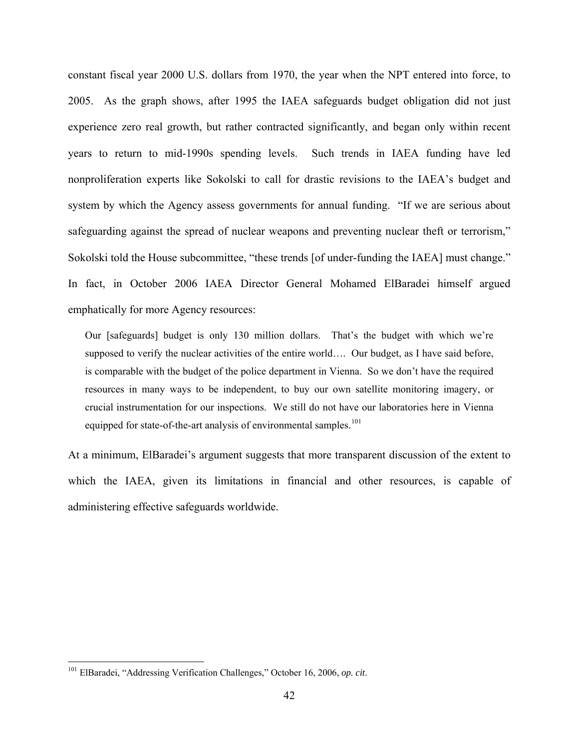constant fiscal year 2000 U.S. dollars from 1970, the year when the NPT entered into force, to 2005. As the graph shows, after 1995 the IAEA safeguards budget obligation did not just experience zero real growth, but rather contracted significantly, and began only within recent years to return to mid-1990s spending levels. Such trends in IAEA funding have led nonproliferation experts like Sokolski to call for drastic revisions to the IAEA's budget and system by which the Agency assess governments for annual funding. "If we are serious about safeguarding against the spread of nuclear weapons and preventing nuclear theft or terrorism," Sokolski told the House subcommittee, "these trends [of under-funding the IAEA] must change." In fact, in October 2006 IAEA Director General Mohamed ElBaradei himself argued emphatically for more Agency resources:

Our [safeguards] budget is only 130 million dollars. That's the budget with which we're supposed to verify the nuclear activities of the entire world…. Our budget, as I have said before, is comparable with the budget of the police department in Vienna. So we don't have the required resources in many ways to be independent, to buy our own satellite monitoring imagery, or crucial instrumentation for our inspections. We still do not have our laboratories here in Vienna equipped for state-of-the-art analysis of environmental samples.<sup>[101](#page-41-0)</sup>

At a minimum, ElBaradei's argument suggests that more transparent discussion of the extent to which the IAEA, given its limitations in financial and other resources, is capable of administering effective safeguards worldwide.

<span id="page-41-0"></span><sup>101</sup> ElBaradei, "Addressing Verification Challenges," October 16, 2006, *op. cit*.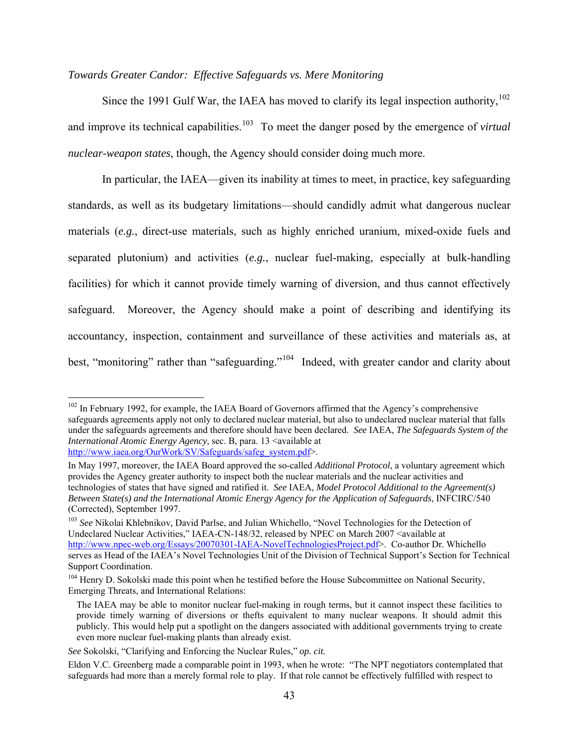#### *Towards Greater Candor: Effective Safeguards vs. Mere Monitoring*

Since the 1991 Gulf War, the IAEA has moved to clarify its legal inspection authority,<sup>[102](#page-42-0)</sup> and improve its technical capabilities.<sup>[103](#page-42-1)</sup> To meet the danger posed by the emergence of *virtual nuclear-weapon states*, though, the Agency should consider doing much more.

In particular, the IAEA—given its inability at times to meet, in practice, key safeguarding standards, as well as its budgetary limitations—should candidly admit what dangerous nuclear materials (*e.g.*, direct-use materials, such as highly enriched uranium, mixed-oxide fuels and separated plutonium) and activities (*e.g.*, nuclear fuel-making, especially at bulk-handling facilities) for which it cannot provide timely warning of diversion, and thus cannot effectively safeguard. Moreover, the Agency should make a point of describing and identifying its accountancy, inspection, containment and surveillance of these activities and materials as, at best, "monitoring" rather than "safeguarding."<sup>[104](#page-42-2)</sup> Indeed, with greater candor and clarity about

<span id="page-42-0"></span> $102$  In February 1992, for example, the IAEA Board of Governors affirmed that the Agency's comprehensive safeguards agreements apply not only to declared nuclear material, but also to undeclared nuclear material that falls under the safeguards agreements and therefore should have been declared. *See* IAEA, *The Safeguards System of the International Atomic Energy Agency*, sec. B, para. 13 <available at [http://www.iaea.org/OurWork/SV/Safeguards/safeg\\_system.pdf](http://www.iaea.org/OurWork/SV/Safeguards/safeg_system.pdf)>.

In May 1997, moreover, the IAEA Board approved the so-called *Additional Protocol*, a voluntary agreement which provides the Agency greater authority to inspect both the nuclear materials and the nuclear activities and technologies of states that have signed and ratified it. *See* IAEA, *Model Protocol Additional to the Agreement(s) Between State(s) and the International Atomic Energy Agency for the Application of Safeguards*, INFCIRC/540 (Corrected), September 1997.

<span id="page-42-1"></span><sup>&</sup>lt;sup>103</sup> See Nikolai Khlebnikov, David Parlse, and Julian Whichello, "Novel Technologies for the Detection of Undeclared Nuclear Activities," IAEA-CN-148/32, released by NPEC on March 2007 <available at [http://www.npec-web.org/Essays/20070301-IAEA-NovelTechnologiesProject.pdf>](http://www.npec-web.org/Essays/20070301-IAEA-NovelTechnologiesProject.pdf). Co-author Dr. Whichello serves as Head of the IAEA's Novel Technologies Unit of the Division of Technical Support's Section for Technical Support Coordination.

<span id="page-42-2"></span><sup>&</sup>lt;sup>104</sup> Henry D. Sokolski made this point when he testified before the House Subcommittee on National Security, Emerging Threats, and International Relations:

The IAEA may be able to monitor nuclear fuel-making in rough terms, but it cannot inspect these facilities to provide timely warning of diversions or thefts equivalent to many nuclear weapons. It should admit this publicly. This would help put a spotlight on the dangers associated with additional governments trying to create even more nuclear fuel-making plants than already exist.

*See* Sokolski, "Clarifying and Enforcing the Nuclear Rules," *op. cit.*

Eldon V.C. Greenberg made a comparable point in 1993, when he wrote: "The NPT negotiators contemplated that safeguards had more than a merely formal role to play. If that role cannot be effectively fulfilled with respect to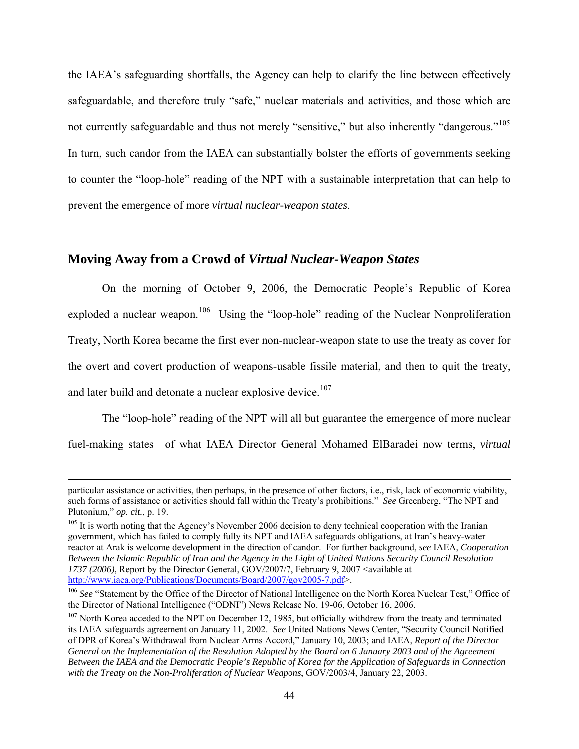the IAEA's safeguarding shortfalls, the Agency can help to clarify the line between effectively safeguardable, and therefore truly "safe," nuclear materials and activities, and those which are not currently safeguardable and thus not merely "sensitive," but also inherently "dangerous."<sup>105</sup> In turn, such candor from the IAEA can substantially bolster the efforts of governments seeking to counter the "loop-hole" reading of the NPT with a sustainable interpretation that can help to prevent the emergence of more *virtual nuclear-weapon states*.

### **Moving Away from a Crowd of** *Virtual Nuclear-Weapon States*

On the morning of October 9, 2006, the Democratic People's Republic of Korea exploded a nuclear weapon.<sup>[106](#page-43-1)</sup> Using the "loop-hole" reading of the Nuclear Nonproliferation Treaty, North Korea became the first ever non-nuclear-weapon state to use the treaty as cover for the overt and covert production of weapons-usable fissile material, and then to quit the treaty, and later build and detonate a nuclear explosive device.<sup>[107](#page-43-2)</sup>

The "loop-hole" reading of the NPT will all but guarantee the emergence of more nuclear fuel-making states—of what IAEA Director General Mohamed ElBaradei now terms, *virtual* 

particular assistance or activities, then perhaps, in the presence of other factors, i.e., risk, lack of economic viability, such forms of assistance or activities should fall within the Treaty's prohibitions." *See* Greenberg, "The NPT and

<span id="page-43-0"></span>Plutonium," *op. cit.*, p. 19.<br><sup>105</sup> It is worth noting that the Agency's November 2006 decision to deny technical cooperation with the Iranian government, which has failed to comply fully its NPT and IAEA safeguards obligations, at Iran's heavy-water reactor at Arak is welcome development in the direction of candor. For further background, *see* IAEA, *Cooperation Between the Islamic Republic of Iran and the Agency in the Light of United Nations Security Council Resolution*  1737 (2006), Report by the Director General, GOV/2007/7, February 9, 2007 <available at <http://www.iaea.org/Publications/Documents/Board/2007/gov2005-7.pdf>>.

<span id="page-43-1"></span><sup>&</sup>lt;sup>106</sup> *See* "Statement by the Office of the Director of National Intelligence on the North Korea Nuclear Test," Office of the Director of National Intelligence ("ODNI") News Release No. 19-06, October 16, 2006.

<span id="page-43-2"></span> $107$  North Korea acceded to the NPT on December 12, 1985, but officially withdrew from the treaty and terminated its IAEA safeguards agreement on January 11, 2002. *See* United Nations News Center, "Security Council Notified of DPR of Korea's Withdrawal from Nuclear Arms Accord," January 10, 2003; and IAEA, *Report of the Director General on the Implementation of the Resolution Adopted by the Board on 6 January 2003 and of the Agreement Between the IAEA and the Democratic People's Republic of Korea for the Application of Safeguards in Connection with the Treaty on the Non-Proliferation of Nuclear Weapons*, GOV/2003/4, January 22, 2003.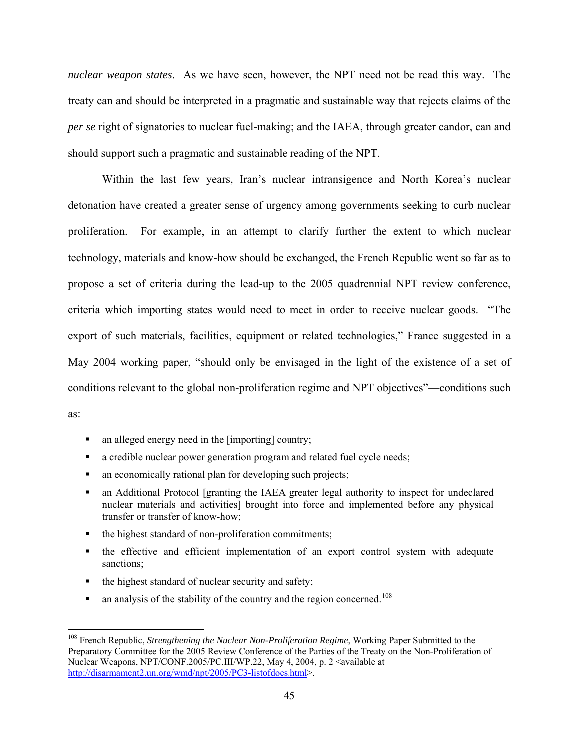*nuclear weapon states*. As we have seen, however, the NPT need not be read this way. The treaty can and should be interpreted in a pragmatic and sustainable way that rejects claims of the *per se* right of signatories to nuclear fuel-making; and the IAEA, through greater candor, can and should support such a pragmatic and sustainable reading of the NPT.

Within the last few years, Iran's nuclear intransigence and North Korea's nuclear detonation have created a greater sense of urgency among governments seeking to curb nuclear proliferation. For example, in an attempt to clarify further the extent to which nuclear technology, materials and know-how should be exchanged, the French Republic went so far as to propose a set of criteria during the lead-up to the 2005 quadrennial NPT review conference, criteria which importing states would need to meet in order to receive nuclear goods. "The export of such materials, facilities, equipment or related technologies," France suggested in a May 2004 working paper, "should only be envisaged in the light of the existence of a set of conditions relevant to the global non-proliferation regime and NPT objectives"—conditions such as:

- an alleged energy need in the [importing] country;
- a credible nuclear power generation program and related fuel cycle needs;
- an economically rational plan for developing such projects;
- an Additional Protocol [granting the IAEA greater legal authority to inspect for undeclared nuclear materials and activities] brought into force and implemented before any physical transfer or transfer of know-how;
- the highest standard of non-proliferation commitments;
- the effective and efficient implementation of an export control system with adequate sanctions;
- $\blacksquare$  the highest standard of nuclear security and safety;

 $\overline{a}$ 

an analysis of the stability of the country and the region concerned.<sup>[108](#page-44-0)</sup>

<span id="page-44-0"></span><sup>108</sup> French Republic, *Strengthening the Nuclear Non-Proliferation Regime*, Working Paper Submitted to the Preparatory Committee for the 2005 Review Conference of the Parties of the Treaty on the Non-Proliferation of Nuclear Weapons, NPT/CONF.2005/PC.III/WP.22, May 4, 2004, p. 2 <available at <http://disarmament2.un.org/wmd/npt/2005/PC3-listofdocs.html>>.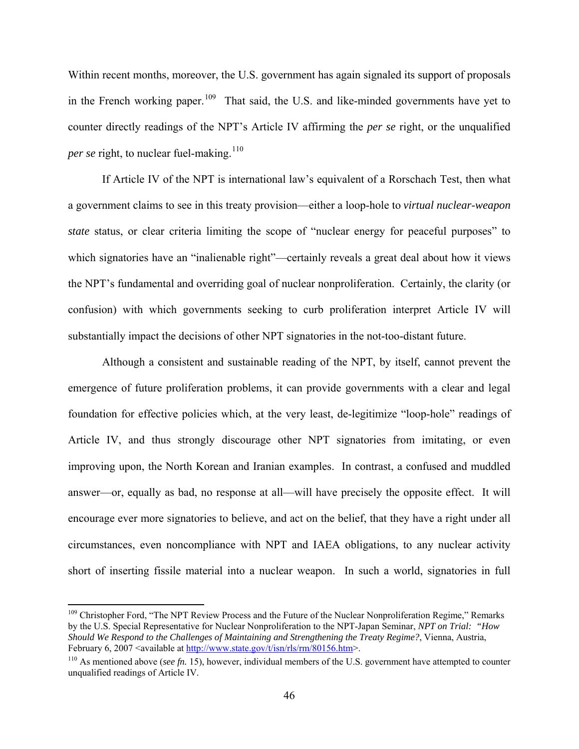Within recent months, moreover, the U.S. government has again signaled its support of proposals in the French working paper.<sup>[109](#page-45-0)</sup> That said, the U.S. and like-minded governments have yet to counter directly readings of the NPT's Article IV affirming the *per se* right, or the unqualified *per se* right, to nuclear fuel-making.<sup>[110](#page-45-1)</sup>

If Article IV of the NPT is international law's equivalent of a Rorschach Test, then what a government claims to see in this treaty provision—either a loop-hole to *virtual nuclear-weapon state* status, or clear criteria limiting the scope of "nuclear energy for peaceful purposes" to which signatories have an "inalienable right"—certainly reveals a great deal about how it views the NPT's fundamental and overriding goal of nuclear nonproliferation. Certainly, the clarity (or confusion) with which governments seeking to curb proliferation interpret Article IV will substantially impact the decisions of other NPT signatories in the not-too-distant future.

Although a consistent and sustainable reading of the NPT, by itself, cannot prevent the emergence of future proliferation problems, it can provide governments with a clear and legal foundation for effective policies which, at the very least, de-legitimize "loop-hole" readings of Article IV, and thus strongly discourage other NPT signatories from imitating, or even improving upon, the North Korean and Iranian examples. In contrast, a confused and muddled answer—or, equally as bad, no response at all—will have precisely the opposite effect. It will encourage ever more signatories to believe, and act on the belief, that they have a right under all circumstances, even noncompliance with NPT and IAEA obligations, to any nuclear activity short of inserting fissile material into a nuclear weapon. In such a world, signatories in full

1

<span id="page-45-0"></span><sup>&</sup>lt;sup>109</sup> Christopher Ford, "The NPT Review Process and the Future of the Nuclear Nonproliferation Regime," Remarks by the U.S. Special Representative for Nuclear Nonproliferation to the NPT-Japan Seminar, *NPT on Trial: "How Should We Respond to the Challenges of Maintaining and Strengthening the Treaty Regime?*, Vienna, Austria, February 6, 2007 <available at<http://www.state.gov/t/isn/rls/rm/80156.htm>>.

<span id="page-45-1"></span><sup>110</sup> As mentioned above (*see fn.* 15), however, individual members of the U.S. government have attempted to counter unqualified readings of Article IV.